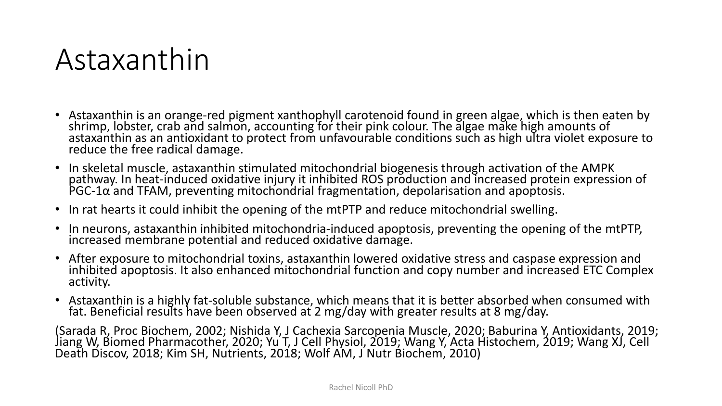#### Astaxanthin

- Astaxanthin is an orange-red pigment xanthophyll carotenoid found in green algae, which is then eaten by shrimp, lobster, crab and salmon, accounting for their pink colour. The algae make high amounts of astaxanthin as an antioxidant to protect from unfavourable conditions such as high ultra violet exposure to reduce the free radical damage.
- In skeletal muscle, astaxanthin stimulated mitochondrial biogenesis through activation of the AMPK pathway. In heat-induced oxidative injury it inhibited ROS production and increased protein expression of PGC-1 $\alpha$  and TFAM, preventing mitochondrial fragmentation, depolarisation and apoptosis.
- In rat hearts it could inhibit the opening of the mtPTP and reduce mitochondrial swelling.
- In neurons, astaxanthin inhibited mitochondria-induced apoptosis, preventing the opening of the mtPTP, increased membrane potential and reduced oxidative damage.
- After exposure to mitochondrial toxins, astaxanthin lowered oxidative stress and caspase expression and inhibited apoptosis. It also enhanced mitochondrial function and copy number and increased ETC Complex activity.
- Astaxanthin is a highly fat-soluble substance, which means that it is better absorbed when consumed with fat. Beneficial results have been observed at 2 mg/day with greater results at 8 mg/day.

(Sarada R, Proc Biochem, 2002; Nishida Y, J Cachexia Sarcopenia Muscle, 2020; Baburina Y, Antioxidants, 2019; Jiang W, Biomed Pharmacother, 2020; Yu T, J Cell Physiol, 2019; Wang Y, Acta Histochem, 2019; Wang XJ, Cell Death Discov, 2018; Kim SH, Nutrients, 2018; Wolf AM, J Nutr Biochem, 2010)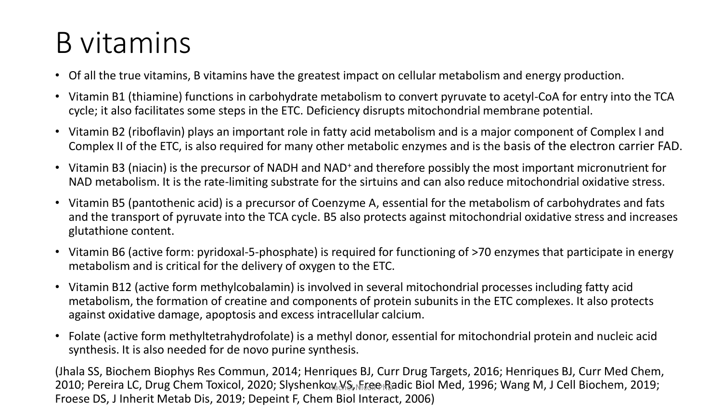### B vitamins

- Of all the true vitamins, B vitamins have the greatest impact on cellular metabolism and energy production.
- Vitamin B1 (thiamine) functions in carbohydrate metabolism to convert pyruvate to acetyl-CoA for entry into the TCA cycle; it also facilitates some steps in the ETC. Deficiency disrupts mitochondrial membrane potential.
- Vitamin B2 (riboflavin) plays an important role in fatty acid metabolism and is a major component of Complex I and Complex II of the ETC, is also required for many other metabolic enzymes and is the basis of the electron carrier FAD.
- Vitamin B3 (niacin) is the precursor of NADH and NAD<sup>+</sup>and therefore possibly the most important micronutrient for NAD metabolism. It is the rate-limiting substrate for the sirtuins and can also reduce mitochondrial oxidative stress.
- Vitamin B5 (pantothenic acid) is a precursor of Coenzyme A, essential for the metabolism of carbohydrates and fats and the transport of pyruvate into the TCA cycle. B5 also protects against mitochondrial oxidative stress and increases glutathione content.
- Vitamin B6 (active form: pyridoxal-5-phosphate) is required for functioning of >70 enzymes that participate in energy metabolism and is critical for the delivery of oxygen to the ETC.
- Vitamin B12 (active form methylcobalamin) is involved in several mitochondrial processes including fatty acid metabolism, the formation of creatine and components of protein subunits in the ETC complexes. It also protects against oxidative damage, apoptosis and excess intracellular calcium.
- Folate (active form methyltetrahydrofolate) is a methyl donor, essential for mitochondrial protein and nucleic acid synthesis. It is also needed for de novo purine synthesis.

(Jhala SS, Biochem Biophys Res Commun, 2014; Henriques BJ, Curr Drug Targets, 2016; Henriques BJ, Curr Med Chem, 2010; Pereira LC, Drug Chem Toxicol, 2020; Slyshenkoଜ୍ଞା(୪ୋମିଣେ Biol Med, 1996; Wang M, J Cell Biochem, 2019; Froese DS, J Inherit Metab Dis, 2019; Depeint F, Chem Biol Interact, 2006)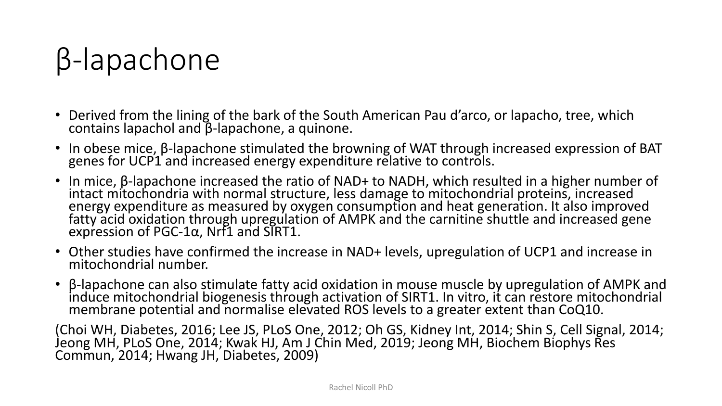### β-lapachone

- Derived from the lining of the bark of the South American Pau d'arco, or lapacho, tree, which contains lapachol and β-lapachone, a quinone.
- In obese mice, β-lapachone stimulated the browning of WAT through increased expression of BAT genes for UCP1 and increased energy expenditure relative to controls.
- In mice, β-lapachone increased the ratio of NAD+ to NADH, which resulted in a higher number of intact mitochondria with normal structure, less damage to mitochondrial proteins, increased energy expenditure as measured by oxygen consumption and heat generation. It also improved fatty acid oxidation through upregulation of AMPK and the carnitine shuttle and increased gene expression of PGC-1α, Nrf1 and SIRT1.
- Other studies have confirmed the increase in NAD+ levels, upregulation of UCP1 and increase in mitochondrial number.
- β-lapachone can also stimulate fatty acid oxidation in mouse muscle by upregulation of AMPK and induce mitochondrial biogenesis through activation of SIRT1. In vitro, it can restore mitochondrial membrane potential and normalise elevated ROS levels to a greater extent than CoQ10.

(Choi WH, Diabetes, 2016; Lee JS, PLoS One, 2012; Oh GS, Kidney Int, 2014; Shin S, Cell Signal, 2014; Jeong MH, PLoS One, 2014; Kwak HJ, Am J Chin Med, 2019; Jeong MH, Biochem Biophys Res Commun, 2014; Hwang JH, Diabetes, 2009)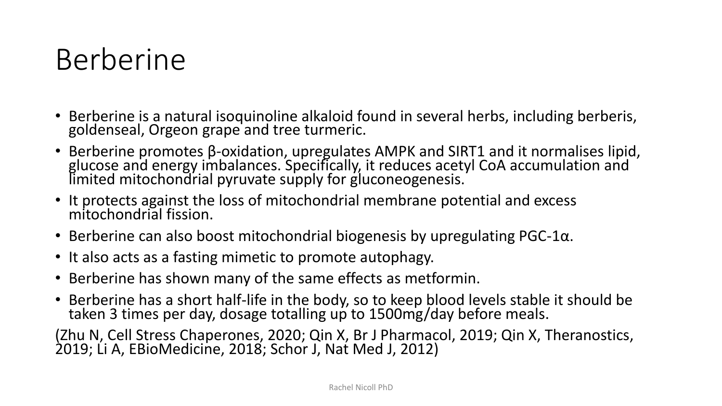### Berberine

- Berberine is a natural isoquinoline alkaloid found in several herbs, including berberis, goldenseal, Orgeon grape and tree turmeric.
- Berberine promotes β-oxidation, upregulates AMPK and SIRT1 and it normalises lipid, glucose and energy imbalances. Specifically, it reduces acetyl CoA accumulation and limited mitochondrial pyruvate supply for gluconeogenesis.
- It protects against the loss of mitochondrial membrane potential and excess mitochondrial fission.
- Berberine can also boost mitochondrial biogenesis by upregulating  $PGC-1\alpha$ .
- It also acts as a fasting mimetic to promote autophagy.
- Berberine has shown many of the same effects as metformin.
- Berberine has a short half-life in the body, so to keep blood levels stable it should be taken 3 times per day, dosage totalling up to 1500mg/day before meals.

(Zhu N, Cell Stress Chaperones, 2020; Qin X, Br J Pharmacol, 2019; Qin X, Theranostics, 2019; Li A, EBioMedicine, 2018; Schor J, Nat Med J, 2012)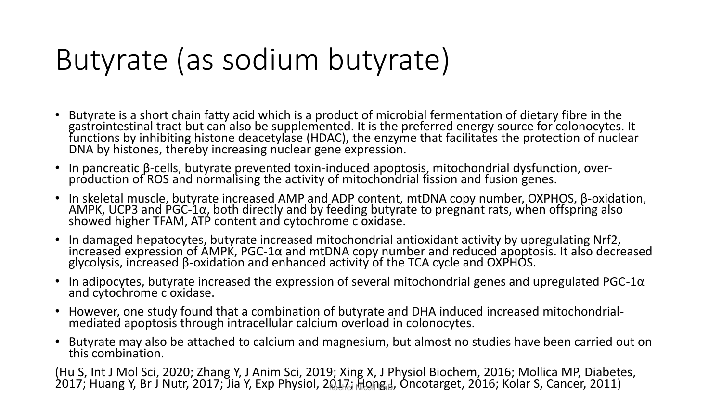### Butyrate (as sodium butyrate)

- Butyrate is a short chain fatty acid which is a product of microbial fermentation of dietary fibre in the gastrointestinal tract but can also be supplemented. It is the preferred energy source for colonocytes. It functions by inhibiting histone deacetylase (HDAC), the enzyme that facilitates the protection of nuclear DNA by histones, thereby increasing nuclear gene expression.
- In pancreatic β-cells, butyrate prevented toxin-induced apoptosis, mitochondrial dysfunction, overproduction of ROS and normalising the activity of mitochondrial fission and fusion genes.
- In skeletal muscle, butyrate increased AMP and ADP content, mtDNA copy number, OXPHOS, β-oxidation, AMPK, UCP3 and PGC-1 $\alpha$ , both directly and by feeding butyrate to pregnant rats, when offspring also showed higher TFAM, ATP content and cytochrome c oxidase.
- In damaged hepatocytes, butyrate increased mitochondrial antioxidant activity by upregulating Nrf2, increased expression of AMPK, PGC-1α and mtDNA copy number and reduced apoptosis. It also decreased glycolysis, increased β-oxidation and enhanced activity of the TCA cycle and OXPHOS.
- In adipocytes, butyrate increased the expression of several mitochondrial genes and upregulated PGC-1 $\alpha$ and cytochrome c oxidase.
- However, one study found that a combination of butyrate and DHA induced increased mitochondrialmediated apoptosis through intracellular calcium overload in colonocytes.
- Butyrate may also be attached to calcium and magnesium, but almost no studies have been carried out on this combination.

(Hu S, Int J Mol Sci, 2020; Zhang Y, J Anim Sci, 2019; Xing X, J Physiol Biochem, 2016; Mollica MP, Diabetes, 2017; Huang Y, Br J Nutr, 2017; Jia Y, Exp Physiol, 2017, નિંબાજીનુ, Oncotarget, 2016; Kolar S, Cancer, 2011)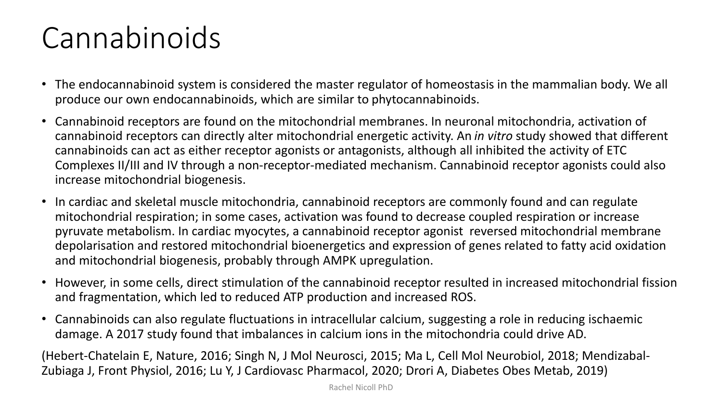### Cannabinoids

- The endocannabinoid system is considered the master regulator of homeostasis in the mammalian body. We all produce our own endocannabinoids, which are similar to phytocannabinoids.
- Cannabinoid receptors are found on the mitochondrial membranes. In neuronal mitochondria, activation of cannabinoid receptors can directly alter mitochondrial energetic activity. An *in vitro* study showed that different cannabinoids can act as either receptor agonists or antagonists, although all inhibited the activity of ETC Complexes II/III and IV through a non-receptor-mediated mechanism. Cannabinoid receptor agonists could also increase mitochondrial biogenesis.
- In cardiac and skeletal muscle mitochondria, cannabinoid receptors are commonly found and can regulate mitochondrial respiration; in some cases, activation was found to decrease coupled respiration or increase pyruvate metabolism. In cardiac myocytes, a cannabinoid receptor agonist reversed mitochondrial membrane depolarisation and restored mitochondrial bioenergetics and expression of genes related to fatty acid oxidation and mitochondrial biogenesis, probably through AMPK upregulation.
- However, in some cells, direct stimulation of the cannabinoid receptor resulted in increased mitochondrial fission and fragmentation, which led to reduced ATP production and increased ROS.
- Cannabinoids can also regulate fluctuations in intracellular calcium, suggesting a role in reducing ischaemic damage. A 2017 study found that imbalances in calcium ions in the mitochondria could drive AD.

(Hebert-Chatelain E, Nature, 2016; Singh N, J Mol Neurosci, 2015; Ma L, Cell Mol Neurobiol, 2018; Mendizabal-Zubiaga J, Front Physiol, 2016; Lu Y, J Cardiovasc Pharmacol, 2020; Drori A, Diabetes Obes Metab, 2019)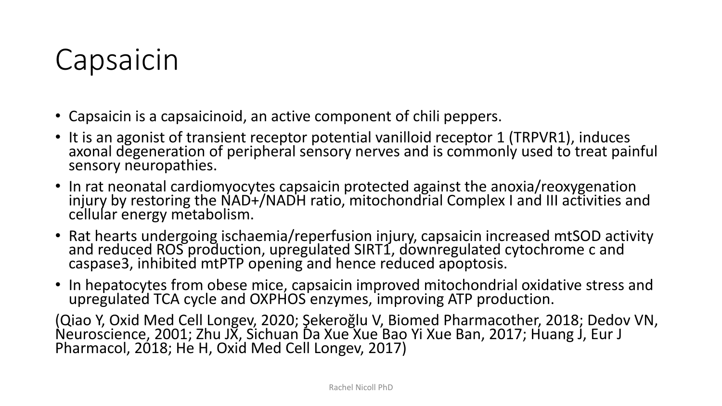#### Capsaicin

- Capsaicin is a capsaicinoid, an active component of chili peppers.
- It is an agonist of transient receptor potential vanilloid receptor 1 (TRPVR1), induces axonal degeneration of peripheral sensory nerves and is commonly used to treat painful sensory neuropathies.
- In rat neonatal cardiomyocytes capsaicin protected against the anoxia/reoxygenation injury by restoring the NAD+/NADH ratio, mitochondrial Complex I and III activities and cellular energy metabolism.
- Rat hearts undergoing ischaemia/reperfusion injury, capsaicin increased mtSOD activity and reduced ROS production, upregulated SIRT1, downregulated cytochrome c and caspase3, inhibited mtPTP opening and hence reduced apoptosis.
- In hepatocytes from obese mice, capsaicin improved mitochondrial oxidative stress and upregulated TCA cycle and OXPHOS enzymes, improving ATP production.

(Qiao Y, Oxid Med Cell Longev, 2020; Şekeroğlu V, Biomed Pharmacother, 2018; Dedov VN, Neuroscience, 2001; Zhu JX, Sichuan Da Xue Xue Bao Yi Xue Ban, 2017; Huang J, Eur J Pharmacol, 2018; He H, Oxid Med Cell Longev, 2017)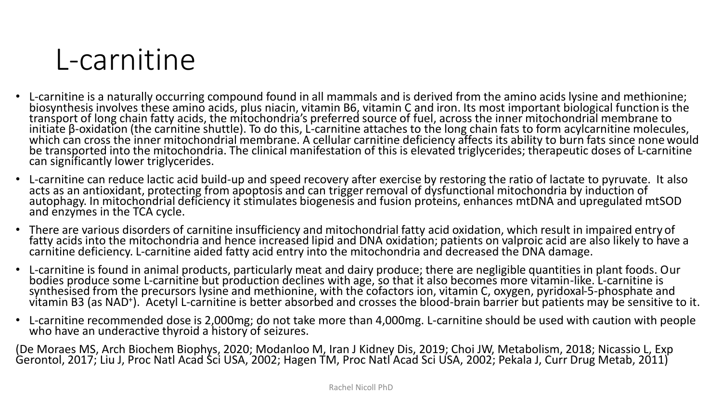

- L-carnitine is a naturally occurring compound found in all mammals and is derived from the amino acids lysine and methionine; biosynthesis involves these amino acids, plus niacin, vitamin B6, vitamin C and iron. Its most important biological function is the transport of long chain fatty acids, the mitochondria's preferred source of fuel, across the inner mitochondrial membrane to initiate β-oxidation (the carnitine shuttle). To do this, L-carnitine attaches to the long chain fats to form acylcarnitine molecules, which can cross the inner mitochondrial membrane. A cellular carnitine deficiency affects its ability to burn fats since none would be transported into the mitochondria. The clinical manifestation of this is elevated triglycerides; therapeutic doses of L-carnitine can significantly lower triglycerides.
- L-carnitine can reduce lactic acid build-up and speed recovery after exercise by restoring the ratio of lactate to pyruvate. It also acts as an antioxidant, protecting from apoptosis and can trigger removal of dysfunctional mitochondria by induction of autophagy. In mitochondrial deficiency it stimulates biogenesis and fusion proteins, enhances mtDNA and upregulated mtSOD and enzymes in the TCA cycle.
- There are various disorders of carnitine insufficiency and mitochondrial fatty acid oxidation, which result in impaired entry of fatty acids into the mitochondria and hence increased lipid and DNA oxidation; patients on valproic acid are also likely to have a carnitine deficiency. L-carnitine aided fatty acid entry into the mitochondria and decreased the DNA damage.
- L-carnitine is found in animal products, particularly meat and dairy produce; there are negligible quantities in plant foods. Our bodies produce some L-carnitine but production declines with age, so that it also becomes more vitamin-like. L-carnitine is synthesised from the precursors lysine and methionine, with the cofactors ion, vitamin C, oxygen, pyridoxal-5-phosphate and vitamin B3 (as NAD<sup>+</sup>). Acetyl L-carnitine is better absorbed and crosses the blood-brain barrier but patients may be sensitive to it.
- L-carnitine recommended dose is 2,000mg; do not take more than 4,000mg. L-carnitine should be used with caution with people who have an underactive thyroid a history of seizures.

(De Moraes MS, Arch Biochem Biophys, 2020; Modanloo M, Iran J Kidney Dis, 2019; Choi JW, Metabolism, 2018; Nicassio L, Exp Gerontol, 2017; Liu J, Proc Natl Acad Sci USA, 2002; Hagen TM, Proc Natl Acad Sci USA, 2002; Pekala J, Curr Drug Metab, 2011)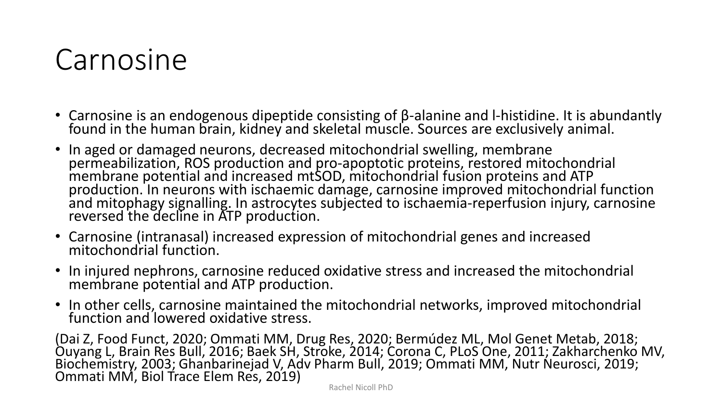#### Carnosine

- Carnosine is an endogenous dipeptide consisting of β-alanine and l-histidine. It is abundantly found in the human brain, kidney and skeletal muscle. Sources are exclusively animal.
- In aged or damaged neurons, decreased mitochondrial swelling, membrane permeabilization, ROS production and pro-apoptotic proteins, restored mitochondrial membrane potential and increased mtSOD, mitochondrial fusion proteins and ATP production. In neurons with ischaemic damage, carnosine improved mitochondrial function and mitophagy signalling. In astrocytes subjected to ischaemia-reperfusion injury, carnosine reversed the decline in ATP production.
- Carnosine (intranasal) increased expression of mitochondrial genes and increased mitochondrial function.
- In injured nephrons, carnosine reduced oxidative stress and increased the mitochondrial membrane potential and ATP production.
- In other cells, carnosine maintained the mitochondrial networks, improved mitochondrial function and lowered oxidative stress.

(Dai Z, Food Funct, 2020; Ommati MM, Drug Res, 2020; Bermúdez ML, Mol Genet Metab, 2018; Ouyang L, Brain Res Bull, 2016; Baek SH, Stroke, 2014; Corona C, PLoS One, 2011; Zakharchenko MV, Biochemistry, 2003; Ghanbarinejad V, Adv Pharm Bull, 2019; Ommati MM, Nutr Neurosci, 2019; Ommati MM, Biol Trace Elem Res, 2019)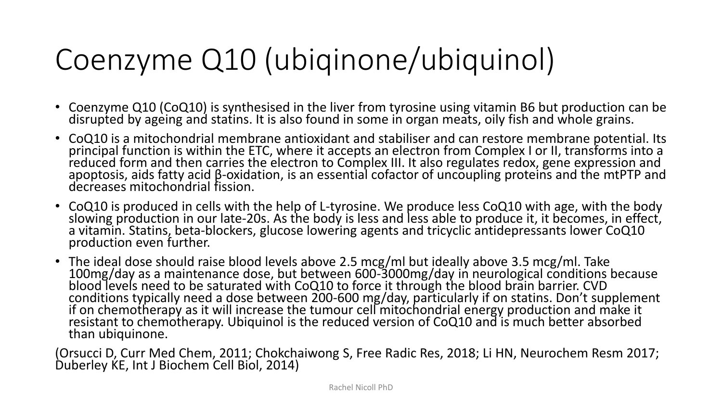### Coenzyme Q10 (ubiqinone/ubiquinol)

- Coenzyme Q10 (CoQ10) is synthesised in the liver from tyrosine using vitamin B6 but production can be disrupted by ageing and statins. It is also found in some in organ meats, oily fish and whole grains.
- CoQ10 is a mitochondrial membrane antioxidant and stabiliser and can restore membrane potential. Its principal function is within the ETC, where it accepts an electron from Complex I or II, transforms into a reduced form and then carries the electron to Complex III. It also regulates redox, gene expression and apoptosis, aids fatty acid β-oxidation, is an essential cofactor of uncoupling proteins and the mtPTP and decreases mitochondrial fission.
- CoQ10 is produced in cells with the help of L-tyrosine. We produce less CoQ10 with age, with the body slowing production in our late-20s. As the body is less and less able to produce it, it becomes, in effect, a vitamin. Statins, beta-blockers, glucose lowering agents and tricyclic antidepressants lower CoQ10 production even further.
- The ideal dose should raise blood levels above 2.5 mcg/ml but ideally above 3.5 mcg/ml. Take 100mg/day as a maintenance dose, but between 600-3000mg/day in neurological conditions because blood levels need to be saturated with CoQ10 to force it through the blood brain barrier. CVD conditions typically need a dose between 200-600 mg/day, particularly if on statins. Don't supplement if on chemotherapy as it will increase the tumour cell mitochondrial energy production and make it resistant to chemotherapy. Ubiquinol is the reduced version of CoQ10 and is much better absorbed than ubiquinone.

(Orsucci D, Curr Med Chem, 2011; Chokchaiwong S, Free Radic Res, 2018; Li HN, Neurochem Resm 2017; Duberley KE, Int J Biochem Cell Biol, 2014)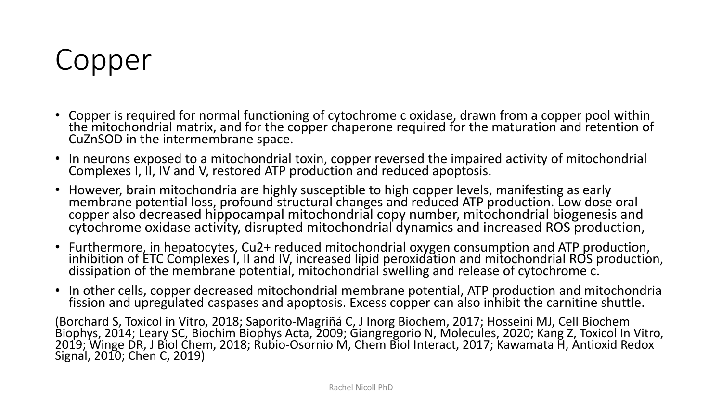### Copper

- Copper is required for normal functioning of cytochrome c oxidase, drawn from a copper pool within the mitochondrial matrix, and for the copper chaperone required for the maturation and retention of CuZnSOD in the intermembrane space.
- In neurons exposed to a mitochondrial toxin, copper reversed the impaired activity of mitochondrial Complexes I, II, IV and V, restored ATP production and reduced apoptosis.
- However, brain mitochondria are highly susceptible to high copper levels, manifesting as early membrane potential loss, profound structural changes and reduced ATP production. Low dose oral copper also decreased hippocampal mitochondrial copy number, mitochondrial biogenesis and cytochrome oxidase activity, disrupted mitochondrial dynamics and increased ROS production,
- Furthermore, in hepatocytes, Cu2+ reduced mitochondrial oxygen consumption and ATP production, inhibition of ETC Complexes I, II and IV, increased lipid peroxidation and mitochondrial ROS production, dissipation of the membrane potential, mitochondrial swelling and release of cytochrome c.
- In other cells, copper decreased mitochondrial membrane potential, ATP production and mitochondria fission and upregulated caspases and apoptosis. Excess copper can also inhibit the carnitine shuttle.

(Borchard S, Toxicol in Vitro, 2018; Saporito-Magriñá C, J Inorg Biochem, 2017; Hosseini MJ, Cell Biochem Biophys, 2014; Leary SC, Biochim Biophys Acta, 2009; Giangregorio N, Molecules, 2020; Kang Z, Toxicol In Vitro, 2019; Winge DR, J Biol Chem, 2018; Rubio-Osornio M, Chem Biol Interact, 2017; Kawamata H, Antioxid Redox Signal, 2010; Chen C, 2019)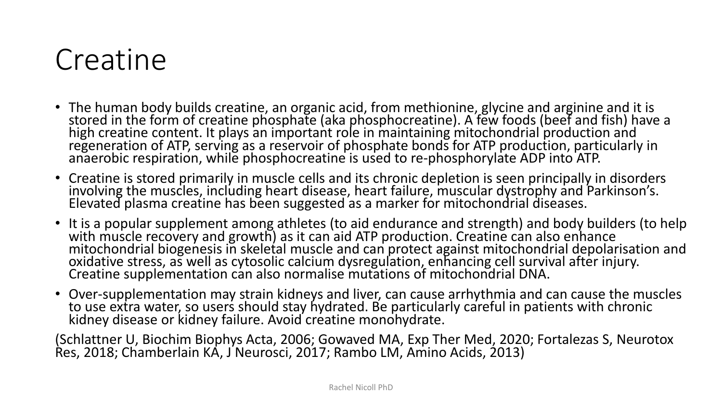#### Creatine

- The human body builds creatine, an organic acid, from methionine, glycine and arginine and it is stored in the form of creatine phosphate (aka phosphocreatine). A few foods (beef and fish) have a high creatine content. It plays an important role in maintaining mitochondrial production and regeneration of ATP, serving as a reservoir of phosphate bonds for ATP production, particularly in anaerobic respiration, while phosphocreatine is used to re-phosphorylate ADP into ATP.
- Creatine is stored primarily in muscle cells and its chronic depletion is seen principally in disorders involving the muscles, including heart disease, heart failure, muscular dystrophy and Parkinson's. Elevated plasma creatine has been suggested as a marker for mitochondrial diseases.
- It is a popular supplement among athletes (to aid endurance and strength) and body builders (to help with muscle recovery and growth) as it can aid ATP production. Creatine can also enhance mitochondrial biogenesis in skeletal muscle and can protect against mitochondrial depolarisation and oxidative stress, as well as cytosolic calcium dysregulation, enhancing cell survival after injury. Creatine supplementation can also normalise mutations of mitochondrial DNA.
- Over-supplementation may strain kidneys and liver, can cause arrhythmia and can cause the muscles to use extra water, so users should stay hydrated. Be particularly careful in patients with chronic kidney disease or kidney failure. Avoid creatine monohydrate.

(Schlattner U, Biochim Biophys Acta, 2006; Gowaved MA, Exp Ther Med, 2020; Fortalezas S, Neurotox Res, 2018; Chamberlain KA, J Neurosci, 2017; Rambo LM, Amino Acids, 2013)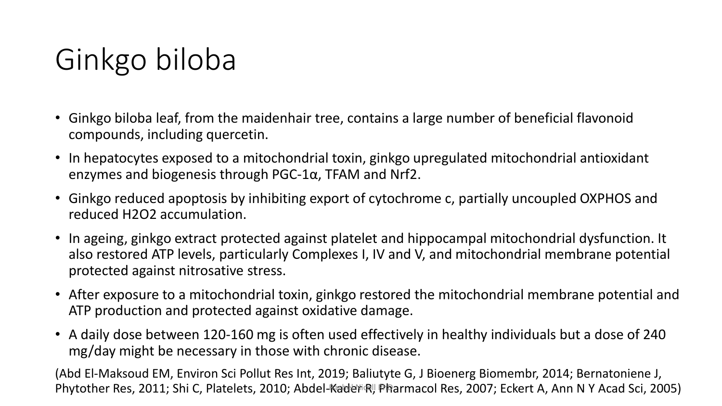## Ginkgo biloba

- Ginkgo biloba leaf, from the maidenhair tree, contains a large number of beneficial flavonoid compounds, including quercetin.
- In hepatocytes exposed to a mitochondrial toxin, ginkgo upregulated mitochondrial antioxidant enzymes and biogenesis through PGC-1α, TFAM and Nrf2.
- Ginkgo reduced apoptosis by inhibiting export of cytochrome c, partially uncoupled OXPHOS and reduced H2O2 accumulation.
- In ageing, ginkgo extract protected against platelet and hippocampal mitochondrial dysfunction. It also restored ATP levels, particularly Complexes I, IV and V, and mitochondrial membrane potential protected against nitrosative stress.
- After exposure to a mitochondrial toxin, ginkgo restored the mitochondrial membrane potential and ATP production and protected against oxidative damage.
- A daily dose between 120-160 mg is often used effectively in healthy individuals but a dose of 240 mg/day might be necessary in those with chronic disease.

(Abd El-Maksoud EM, Environ Sci Pollut Res Int, 2019; Baliutyte G, J Bioenerg Biomembr, 2014; Bernatoniene J, Phytother Res, 2011; Shi C, Platelets, 2010; Abdel-Kader R, Pharmacol Res, 2007; Eckert A, Ann N Y Acad Sci, 2005)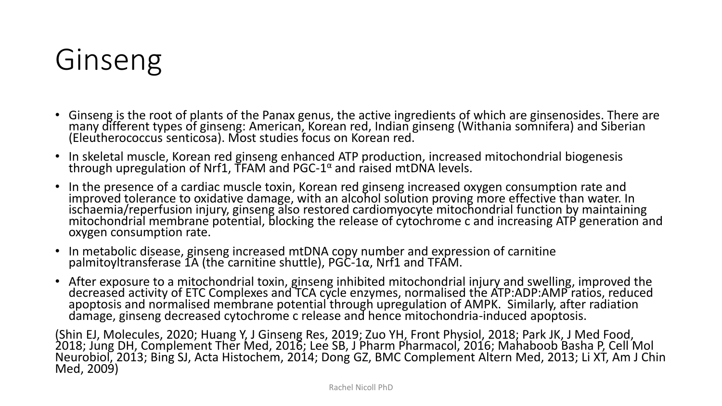### Ginseng

- Ginseng is the root of plants of the Panax genus, the active ingredients of which are ginsenosides. There are many different types of ginseng: American, Korean red, Indian ginseng (Withania somnifera) and Siberian (Eleutherococcus senticosa). Most studies focus on Korean red.
- In skeletal muscle, Korean red ginseng enhanced ATP production, increased mitochondrial biogenesis through upregulation of Nrf1, TFAM and PGC-1 $\alpha$  and raised mtDNA levels.
- In the presence of a cardiac muscle toxin, Korean red ginseng increased oxygen consumption rate and improved tolerance to oxidative damage, with an alcohol solution proving more effective than water. In ischaemia/reperfusion injury, ginseng also restored cardiomyocyte mitochondrial function by maintaining mitochondrial membrane potential, blocking the release of cytochrome c and increasing ATP generation and oxygen consumption rate.
- In metabolic disease, ginseng increased mtDNA copy number and expression of carnitine palmitoyltransferase  $1A$  (the carnitine shuttle), PGC-1 $\alpha$ , Nrf1 and TFAM.
- After exposure to a mitochondrial toxin, ginseng inhibited mitochondrial injury and swelling, improved the decreased activity of ETC Complexes and TCA cycle enzymes, normalised the ATP:ADP:AMP ratios, reduced apoptosis and normalised membrane potential through upregulation of AMPK. Similarly, after radiation damage, ginseng decreased cytochrome c release and hence mitochondria-induced apoptosis.

(Shin EJ, Molecules, 2020; Huang Y, J Ginseng Res, 2019; Zuo YH, Front Physiol, 2018; Park JK, J Med Food, 2018; Jung DH, Complement Ther Med, 2016; Lee SB, J Pharm Pharmacol, 2016; Mahaboob Basha P, Cell Mol Neurobiol, 2013; Bing SJ, Acta Histochem, 2014; Dong GZ, BMC Complement Altern Med, 2013; Li XT, Am J Chin Med, 2009)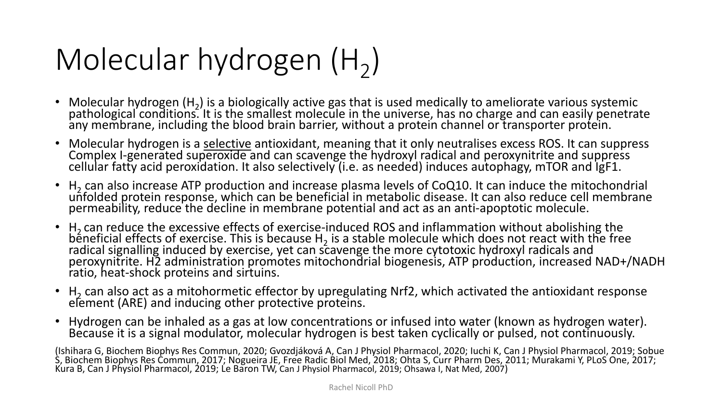# Molecular hydrogen  $(H_2)$

- Molecular hydrogen  $(H_2)$  is a biologically active gas that is used medically to ameliorate various systemic  $\cdot$ pathological conditions. It is the smallest molecule in the universe, has no charge and can easily penetrate any membrane, including the blood brain barrier, without a protein channel or transporter protein.
- Molecular hydrogen is a selective antioxidant, meaning that it only neutralises excess ROS. It can suppress Complex I-generated superoxide and can scavenge the hydroxyl radical and peroxynitrite and suppress cellular fatty acid peroxidation. It also selectively (i.e. as needed) induces autophagy, mTOR and IgF1.
- $H_2$  can also increase ATP production and increase plasma levels of CoQ10. It can induce the mitochondrial  $\frac{1}{2}$ unfolded protein response, which can be beneficial in metabolic disease. It can also reduce cell membrane permeability, reduce the decline in membrane potential and act as an anti-apoptotic molecule.
- $H_2$  can reduce the excessive effects of exercise-induced ROS and inflammation without abolishing the  $\frac{1}{2}$ beneficial effects of exercise. This is because H<sub>2</sub> is a stable molecule which does not react with the free not react with the free radical signalling induced by exercise, yet can scavenge the more cytotoxic hydroxyl radicals and peroxynitrite. H2 administration promotes mitochondrial biogenesis, ATP production, increased NAD+/NADH ratio, heat-shock proteins and sirtuins.
- $H_2$  can also act as a mitohormetic effector by upregulating Nrf2, which activated the antioxidant response element (ARE) and inducing other protective proteins.
- Hydrogen can be inhaled as a gas at low concentrations or infused into water (known as hydrogen water). Because it is a signal modulator, molecular hydrogen is best taken cyclically or pulsed, not continuously.

(Ishihara G, Biochem Biophys Res Commun, 2020; Gvozdjáková A, Can J Physiol Pharmacol, 2020; Iuchi K, Can J Physiol Pharmacol, 2019; Sobue S, Biochem Biophys Res Commun, 2017; Nogueira JE, Free Radic Biol Med, 2018; Ohta S, Curr Pharm Des, 2011; Murakami Y, PLoS One, 2017; Kura B, Can J Physiol Pharmacol, 2019; Le Baron TW, Can J Physiol Pharmacol, 2019; Ohsawa I, Nat Med, 2007)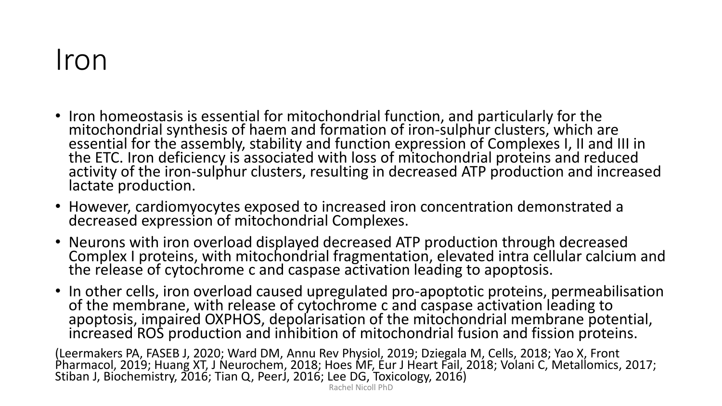#### Iron

- Iron homeostasis is essential for mitochondrial function, and particularly for the mitochondrial synthesis of haem and formation of iron-sulphur clusters, which are essential for the assembly, stability and function expression of Complexes I, II and III in the ETC. Iron deficiency is associated with loss of mitochondrial proteins and reduced activity of the iron-sulphur clusters, resulting in decreased ATP production and increased lactate production.
- However, cardiomyocytes exposed to increased iron concentration demonstrated a decreased expression of mitochondrial Complexes.
- Neurons with iron overload displayed decreased ATP production through decreased Complex I proteins, with mitochondrial fragmentation, elevated intra cellular calcium and the release of cytochrome c and caspase activation leading to apoptosis.
- In other cells, iron overload caused upregulated pro-apoptotic proteins, permeabilisation of the membrane, with release of cytochrome c and caspase activation leading to apoptosis, impaired OXPHOS, depolarisation of the mitochondrial membrane potential, increased ROS production and inhibition of mitochondrial fusion and fission proteins.

(Leermakers PA, FASEB J, 2020; Ward DM, Annu Rev Physiol, 2019; Dziegala M, Cells, 2018; Yao X, Front Pharmacol, 2019; Huang XT, J Neurochem, 2018; Hoes MF, Eur J Heart Fail, 2018; Volani C, Metallomics, 2017; Stiban J, Biochemistry, 2016; Tian Q, PeerJ, 2016; Lee DG, Toxicology, 2016)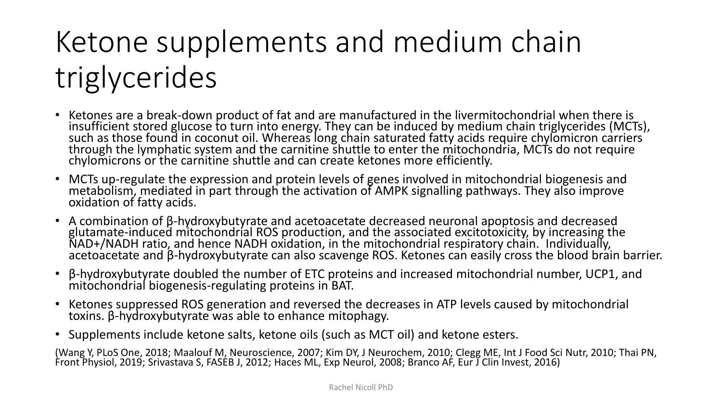## Ketone supplements and medium chain triglycerides

- Ketones are a break-down product of fat and are manufactured in the livermitochondrial when there is insufficient stored glucose to turn into energy. They can be induced by medium chain triglycerides (MCTs), such as those found in coconut oil. Whereas long chain saturated fatty acids require chylomicron carriers through the lymphatic system and the carnitine shuttle to enter the mitochondria, MCTs do not require chylomicrons or the carnitine shuttle and can create ketones more efficiently.
- MCTs up-regulate the expression and protein levels of genes involved in mitochondrial biogenesis and metabolism, mediated in part through the activation of AMPK signalling pathways. They also improve oxidation of fatty acids.
- A combination of β-hydroxybutyrate and acetoacetate decreased neuronal apoptosis and decreased glutamate-induced mitochondrial ROS production, and the associated excitotoxicity, by increasing the NAD+/NADH ratio, and hence NADH oxidation, in the mitochondrial respiratory chain. Individually, acetoacetate and β-hydroxybutyrate can also scavenge ROS. Ketones can easily cross the blood brain barrier.
- β-hydroxybutyrate doubled the number of ETC proteins and increased mitochondrial number, UCP1, and mitochondrial biogenesis-regulating proteins in BAT.
- Ketones suppressed ROS generation and reversed the decreases in ATP levels caused by mitochondrial toxins. β-hydroxybutyrate was able to enhance mitophagy.
- Supplements include ketone salts, ketone oils (such as MCT oil) and ketone esters.

(Wang Y, PLoS One, 2018; Maalouf M, Neuroscience, 2007; Kim DY, J Neurochem, 2010; Clegg ME, Int J Food Sci Nutr, 2010; Thai PN, Front Physiol, 2019; Srivastava S, FASEB J, 2012; Haces ML, Exp Neurol, 2008; Branco AF, Eur J Clin Invest, 2016)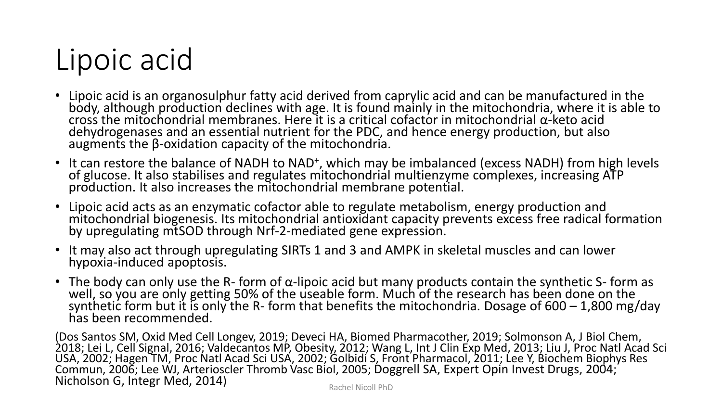### Lipoic acid

- Lipoic acid is an organosulphur fatty acid derived from caprylic acid and can be manufactured in the body, although production declines with age. It is found mainly in the mitochondria, where it is able to cross the mitochondrial membranes. Here it is a critical cofactor in mitochondrial α-keto acid dehydrogenases and an essential nutrient for the PDC, and hence energy production, but also augments the β-oxidation capacity of the mitochondria.
- It can restore the balance of NADH to NAD<sup>+</sup>, which may be imbalanced (excess NADH) from high levels of glucose. It also stabilises and regulates mitochondrial multienzyme complexes, increasing ATP production. It also increases the mitochondrial membrane potential.
- Lipoic acid acts as an enzymatic cofactor able to regulate metabolism, energy production and mitochondrial biogenesis. Its mitochondrial antioxidant capacity prevents excess free radical formation by upregulating mtSOD through Nrf-2-mediated gene expression.
- It may also act through upregulating SIRTs 1 and 3 and AMPK in skeletal muscles and can lower hypoxia-induced apoptosis.
- The body can only use the R- form of α-lipoic acid but many products contain the synthetic S- form as well, so you are only getting 50% of the useable form. Much of the research has been done on the  $\overline{a}$ synthetic form but it is only the R- form that benefits the mitochondria. Dosage of  $600 - 1,800$  mg/day has been recommended.

(Dos Santos SM, Oxid Med Cell Longev, 2019; Deveci HA, Biomed Pharmacother, 2019; Solmonson A, J Biol Chem, 2018; Lei L, Cell Signal, 2016; Valdecantos MP, Obesity, 2012; Wang L, Int J Clin Exp Med, 2013; Liu J, Proc Natl Acad Sci USA, 2002; Hagen TM, Proc Natl Acad Sci USA, 2002; Golbidi S, Front Pharmacol, 2011; Lee Y, Biochem Biophys Res Commun, 2006; Lee WJ, Arterioscler Thromb Vasc Biol, 2005; Doggrell SA, Expert Opin Invest Drugs, 2004; Nicholson G, Integr Med, 2014) Rachel Nicoll PhD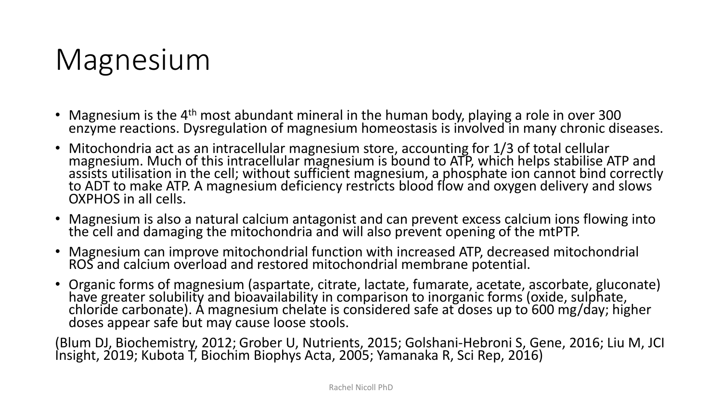### Magnesium

- Magnesium is the  $4<sup>th</sup>$  most abundant mineral in the human body, playing a role in over 300 enzyme reactions. Dysregulation of magnesium homeostasis is involved in many chronic diseases.
- Mitochondria act as an intracellular magnesium store, accounting for 1/3 of total cellular magnesium. Much of this intracellular magnesium is bound to ATP, which helps stabilise ATP and assists utilisation in the cell; without sufficient magnesium, a phosphate ion cannot bind correctly to ADT to make ATP. A magnesium deficiency restricts blood flow and oxygen delivery and slows OXPHOS in all cells.
- Magnesium is also a natural calcium antagonist and can prevent excess calcium ions flowing into the cell and damaging the mitochondria and will also prevent opening of the mtPTP.
- Magnesium can improve mitochondrial function with increased ATP, decreased mitochondrial ROS and calcium overload and restored mitochondrial membrane potential.
- Organic forms of magnesium (aspartate, citrate, lactate, fumarate, acetate, ascorbate, gluconate) have greater solubility and bioavailability in comparison to inorganic forms (oxide, sulphate, chloride carbonate). A magnesium chelate is considered safe at doses up to 600 mg/day; higher doses appear safe but may cause loose stools.

(Blum DJ, Biochemistry, 2012; Grober U, Nutrients, 2015; Golshani-Hebroni S, Gene, 2016; Liu M, JCI Insight, 2019; Kubota T, Biochim Biophys Acta, 2005; Yamanaka R, Sci Rep, 2016)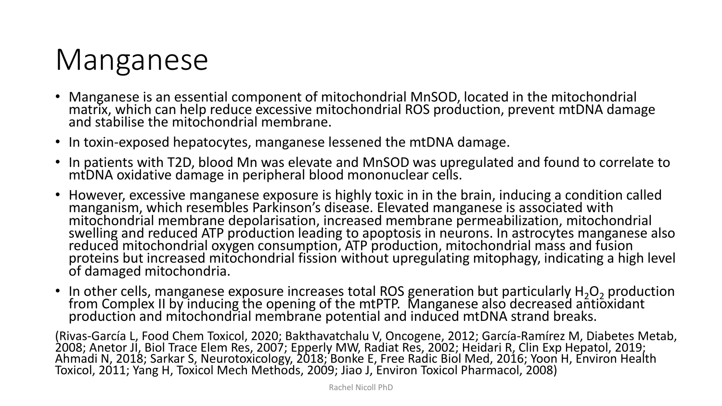### Manganese

- Manganese is an essential component of mitochondrial MnSOD, located in the mitochondrial matrix, which can help reduce excessive mitochondrial ROS production, prevent mtDNA damage and stabilise the mitochondrial membrane.
- In toxin-exposed hepatocytes, manganese lessened the mtDNA damage.
- In patients with T2D, blood Mn was elevate and MnSOD was upregulated and found to correlate to mtDNA oxidative damage in peripheral blood mononuclear cells.
- However, excessive manganese exposure is highly toxic in in the brain, inducing a condition called manganism, which resembles Parkinson's disease. Elevated manganese is associated with mitochondrial membrane depolarisation, increased membrane permeabilization, mitochondrial swelling and reduced ATP production leading to apoptosis in neurons. In astrocytes manganese also reduced mitochondrial oxygen consumption, ATP production, mitochondrial mass and fusion proteins but increased mitochondrial fission without upregulating mitophagy, indicating a high level of damaged mitochondria.
- In other cells, manganese exposure increases total ROS generation but particularly  $H_2O_2$  production from Complex II by inducing the opening of the mtPTP. Manganese also decreased antioxidant production and mitochondrial membrane potential and induced mtDNA strand breaks.

(Rivas-García L, Food Chem Toxicol, 2020; Bakthavatchalu V, Oncogene, 2012; García-Ramírez M, Diabetes Metab, 2008; Anetor JI, Biol Trace Elem Res, 2007; Epperly MW, Radiat Res, 2002; Heidari R, Clin Exp Hepatol, 2019; Ahmadi N, 2018; Sarkar S, Neurotoxicology, 2018; Bonke E, Free Radic Biol Med, 2016; Yoon H, Environ Health Toxicol, 2011; Yang H, Toxicol Mech Methods, 2009; Jiao J, Environ Toxicol Pharmacol, 2008)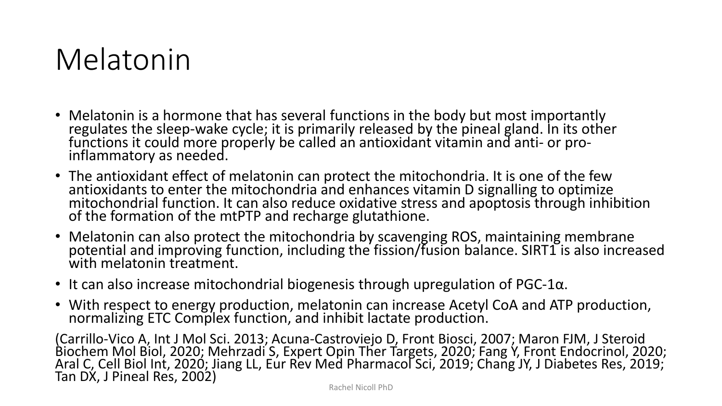#### Melatonin

- Melatonin is a hormone that has several functions in the body but most importantly regulates the sleep-wake cycle; it is primarily released by the pineal gland. In its other functions it could more properly be called an antioxidant vitamin and anti- or proinflammatory as needed.
- The antioxidant effect of melatonin can protect the mitochondria. It is one of the few antioxidants to enter the mitochondria and enhances vitamin D signalling to optimize mitochondrial function. It can also reduce oxidative stress and apoptosis through inhibition of the formation of the mtPTP and recharge glutathione.
- Melatonin can also protect the mitochondria by scavenging ROS, maintaining membrane potential and improving function, including the fission/fusion balance. SIRT1 is also increased with melatonin treatment.
- It can also increase mitochondrial biogenesis through upregulation of PGC-1 $\alpha$ .
- With respect to energy production, melatonin can increase Acetyl CoA and ATP production, normalizing ETC Complex function, and inhibit lactate production.

(Carrillo-Vico A, Int J Mol Sci. 2013; Acuna-Castroviejo D, Front Biosci, 2007; Maron FJM, J Steroid Biochem Mol Biol, 2020; Mehrzadi S, Expert Opin Ther Targets, 2020; Fang Y, Front Endocrinol, 2020; Aral C, Cell Biol Int, 2020; Jiang LL, Eur Rev Med Pharmacol Sci, 2019; Chang JY, J Diabetes Res, 2019; Tan DX, J Pineal Res, 2002)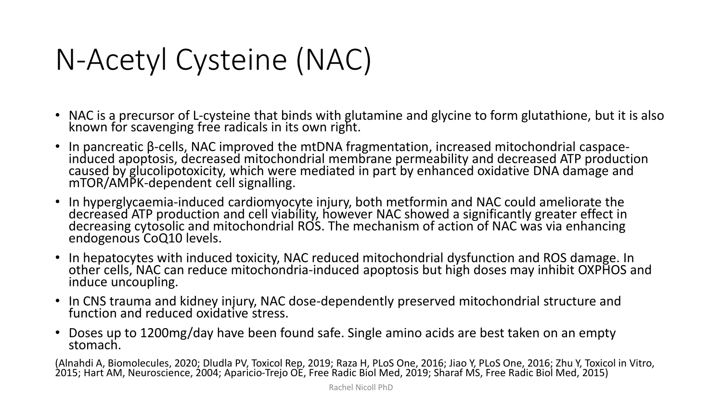### N-Acetyl Cysteine (NAC)

- NAC is a precursor of L-cysteine that binds with glutamine and glycine to form glutathione, but it is also known for scavenging free radicals in its own right.
- In pancreatic β-cells, NAC improved the mtDNA fragmentation, increased mitochondrial caspaceinduced apoptosis, decreased mitochondrial membrane permeability and decreased ATP production caused by glucolipotoxicity, which were mediated in part by enhanced oxidative DNA damage and mTOR/AMPK-dependent cell signalling.
- In hyperglycaemia-induced cardiomyocyte injury, both metformin and NAC could ameliorate the decreased ATP production and cell viability, however NAC showed a significantly greater effect in decreasing cytosolic and mitochondrial ROS. The mechanism of action of NAC was via enhancing endogenous CoQ10 levels.
- In hepatocytes with induced toxicity, NAC reduced mitochondrial dysfunction and ROS damage. In other cells, NAC can reduce mitochondria-induced apoptosis but high doses may inhibit OXPHOS and induce uncoupling.
- In CNS trauma and kidney injury, NAC dose-dependently preserved mitochondrial structure and function and reduced oxidative stress.
- Doses up to 1200mg/day have been found safe. Single amino acids are best taken on an empty stomach.

(Alnahdi A, Biomolecules, 2020; Dludla PV, Toxicol Rep, 2019; Raza H, PLoS One, 2016; Jiao Y, PLoS One, 2016; Zhu Y, Toxicol in Vitro, 2015; Hart AM, Neuroscience, 2004; Aparicio-Trejo OE, Free Radic Biol Med, 2019; Sharaf MS, Free Radic Biol Med, 2015)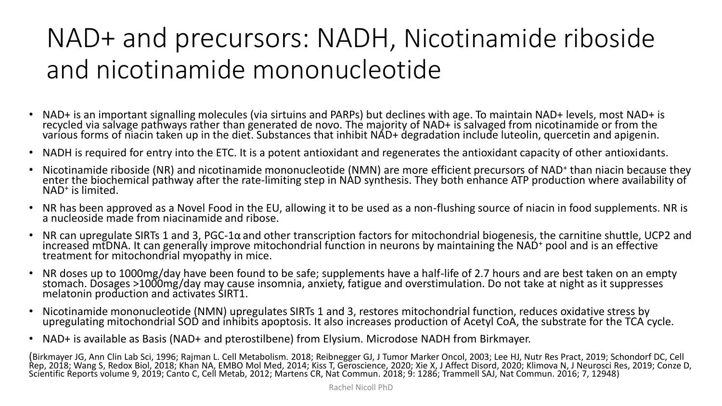#### NAD+ and precursors: NADH, Nicotinamide riboside and nicotinamide mononucleotide

- NAD+ is an important signalling molecules (via sirtuins and PARPs) but declines with age. To maintain NAD+ levels, most NAD+ is recycled via salvage pathways rather than generated de novo. The majority of NAD+ is salvaged from nicotinamide or from the various forms of niacin taken up in the diet. Substances that inhibit NAD+ degradation include luteolin, quercetin and apigenin.
- NADH is required for entry into the ETC. It is a potent antioxidant and regenerates the antioxidant capacity of other antioxidants.
- Nicotinamide riboside (NR) and nicotinamide mononucleotide (NMN) are more efficient precursors of NAD+ than niacin because they enter the biochemical pathway after the rate-limiting step in NAD synthesis. They both enhance ATP production where availability of NAD<sup>+</sup> is limited.
- NR has been approved as a Novel Food in the EU, allowing it to be used as a non-flushing source of niacin in food supplements. NR is a nucleoside made from niacinamide and ribose.
- NR can upregulate SIRTs 1 and 3, PGC-1α and other transcription factors for mitochondrial biogenesis, the carnitine shuttle, UCP2 and increased mtDNA. It can generally improve mitochondrial function in neurons by maintaining the NAD<sup>+</sup> pool and is an effective treatment for mitochondrial myopathy in mice.
- NR doses up to 1000mg/day have been found to be safe; supplements have a half-life of 2.7 hours and are best taken on an empty stomach. Dosages >1000mg/day may cause insomnia, anxiety, fatigue and overstimulation. Do not take at night as it suppresses melatonin production and activates SIRT1.
- Nicotinamide mononucleotide (NMN) upregulates SIRTs 1 and 3, restores mitochondrial function, reduces oxidative stress by upregulating mitochondrial SOD and inhibits apoptosis. It also increases production of Acetyl CoA, the substrate for the TCA cycle.
- NAD+ is available as Basis (NAD+ and pterostilbene) from Elysium. Microdose NADH from Birkmayer.

(Birkmayer JG, Ann Clin Lab Sci, 1996; Rajman L. Cell Metabolism. 2018; Reibnegger GJ, J Tumor Marker Oncol, 2003; Lee HJ, Nutr Res Pract, 2019; Schondorf DC, Cell Rep, 2018; Wang S, Redox Biol, 2018; Khan NA, EMBO Mol Med, 2014; Kiss T, Geroscience, 2020; Xie X, J Affect Disord, 2020; Klimova N, J Neurosci Res, 2019; Conze D, Scientific Reports volume 9, 2019; Canto C, Cell Metab, 2012; Martens CR, Nat Commun. 2018; 9: 1286; Trammell SAJ, Nat Commun. 2016; 7, 12948)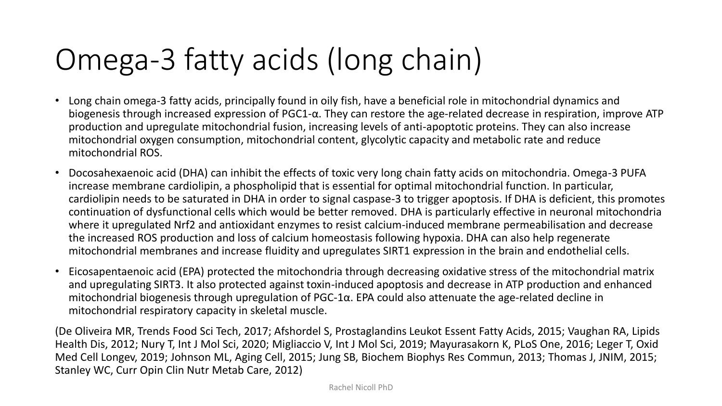### Omega-3 fatty acids (long chain)

- Long chain omega-3 fatty acids, principally found in oily fish, have a beneficial role in mitochondrial dynamics and biogenesis through increased expression of PGC1-α. They can restore the age-related decrease in respiration, improve ATP production and upregulate mitochondrial fusion, increasing levels of anti-apoptotic proteins. They can also increase mitochondrial oxygen consumption, mitochondrial content, glycolytic capacity and metabolic rate and reduce mitochondrial ROS.
- Docosahexaenoic acid (DHA) can inhibit the effects of toxic very long chain fatty acids on mitochondria. Omega-3 PUFA increase membrane cardiolipin, a phospholipid that is essential for optimal mitochondrial function. In particular, cardiolipin needs to be saturated in DHA in order to signal caspase-3 to trigger apoptosis. If DHA is deficient, this promotes continuation of dysfunctional cells which would be better removed. DHA is particularly effective in neuronal mitochondria where it upregulated Nrf2 and antioxidant enzymes to resist calcium-induced membrane permeabilisation and decrease the increased ROS production and loss of calcium homeostasis following hypoxia. DHA can also help regenerate mitochondrial membranes and increase fluidity and upregulates SIRT1 expression in the brain and endothelial cells.
- Eicosapentaenoic acid (EPA) protected the mitochondria through decreasing oxidative stress of the mitochondrial matrix and upregulating SIRT3. It also protected against toxin-induced apoptosis and decrease in ATP production and enhanced mitochondrial biogenesis through upregulation of PGC-1α. EPA could also attenuate the age-related decline in mitochondrial respiratory capacity in skeletal muscle.

(De Oliveira MR, Trends Food Sci Tech, 2017; Afshordel S, Prostaglandins Leukot Essent Fatty Acids, 2015; Vaughan RA, Lipids Health Dis, 2012; Nury T, Int J Mol Sci, 2020; Migliaccio V, Int J Mol Sci, 2019; Mayurasakorn K, PLoS One, 2016; Leger T, Oxid Med Cell Longev, 2019; Johnson ML, Aging Cell, 2015; Jung SB, Biochem Biophys Res Commun, 2013; Thomas J, JNIM, 2015; Stanley WC, Curr Opin Clin Nutr Metab Care, 2012)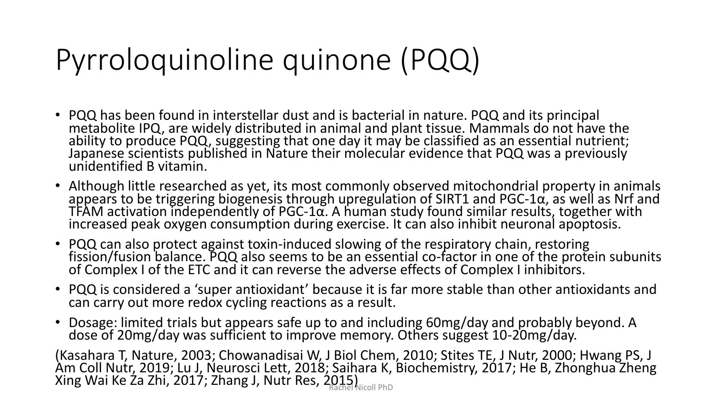### Pyrroloquinoline quinone (PQQ)

- PQQ has been found in interstellar dust and is bacterial in nature. PQQ and its principal metabolite IPQ, are widely distributed in animal and plant tissue. Mammals do not have the ability to produce PQQ, suggesting that one day it may be classified as an essential nutrient; Japanese scientists published in Nature their molecular evidence that PQQ was a previously unidentified B vitamin.
- Although little researched as yet, its most commonly observed mitochondrial property in animals  $\overline{\mathtt{app}}$ ears to be triggering biogenesis through upregulation of SIRT1 and PGC-1 $\alpha$ , as well as Nrf and TFAM activation independently of PGC-1α. A human study found similar results, together with increased peak oxygen consumption during exercise. It can also inhibit neuronal apoptosis.
- PQQ can also protect against toxin-induced slowing of the respiratory chain, restoring fission/fusion balance. PQQ also seems to be an essential co-factor in one of the protein subunits of Complex I of the ETC and it can reverse the adverse effects of Complex I inhibitors.
- PQQ is considered a 'super antioxidant' because it is far more stable than other antioxidants and can carry out more redox cycling reactions as a result.
- Dosage: limited trials but appears safe up to and including 60mg/day and probably beyond. A dose of 20mg/day was sufficient to improve memory. Others suggest 10-20mg/day.

(Kasahara T, Nature, 2003; Chowanadisai W, J Biol Chem, 2010; Stites TE, J Nutr, 2000; Hwang PS, J Am Coll Nutr, 2019; Lu J, Neurosci Lett, 2018; Saihara K, Biochemistry, 2017; He B, Zhonghua Zheng Xing Wai Ke Za Zhi, 2017; Zhang J, Nutr Res, 2015)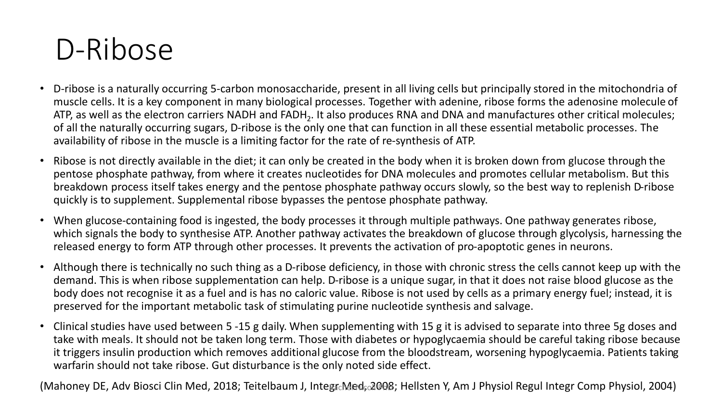#### D-Ribose

- D-ribose is a naturally occurring 5-carbon monosaccharide, present in all living cells but principally stored in the mitochondria of muscle cells. It is a key component in many biological processes. Together with adenine, ribose forms the adenosine molecule of ATP, as well as the electron carriers NADH and FADH<sub>2</sub>. It also produces RNA and DNA and manufactures other critical molecules; of all the naturally occurring sugars, D-ribose is the only one that can function in all these essential metabolic processes. The availability of ribose in the muscle is a limiting factor for the rate of re-synthesis of ATP.
- Ribose is not directly available in the diet; it can only be created in the body when it is broken down from glucose through the pentose phosphate pathway, from where it creates nucleotides for DNA molecules and promotes cellular metabolism. But this breakdown process itself takes energy and the pentose phosphate pathway occurs slowly, so the best way to replenish D-ribose quickly is to supplement. Supplemental ribose bypasses the pentose phosphate pathway.
- When glucose-containing food is ingested, the body processes it through multiple pathways. One pathway generates ribose, which signals the body to synthesise ATP. Another pathway activates the breakdown of glucose through glycolysis, harnessing the released energy to form ATP through other processes. It prevents the activation of pro-apoptotic genes in neurons.
- Although there is technically no such thing as a D-ribose deficiency, in those with chronic stress the cells cannot keep up with the demand. This is when ribose supplementation can help. D-ribose is a unique sugar, in that it does not raise blood glucose as the body does not recognise it as a fuel and is has no caloric value. Ribose is not used by cells as a primary energy fuel; instead, it is preserved for the important metabolic task of stimulating purine nucleotide synthesis and salvage.
- Clinical studies have used between 5 -15 g daily. When supplementing with 15 g it is advised to separate into three 5g doses and take with meals. It should not be taken long term. Those with diabetes or hypoglycaemia should be careful taking ribose because it triggers insulin production which removes additional glucose from the bloodstream, worsening hypoglycaemia. Patients taking warfarin should not take ribose. Gut disturbance is the only noted side effect.

(Mahoney DE, Adv Biosci Clin Med, 2018; Teitelbaum J, IntegrcMed, 2008; Hellsten Y, Am J Physiol Regul Integr Comp Physiol, 2004)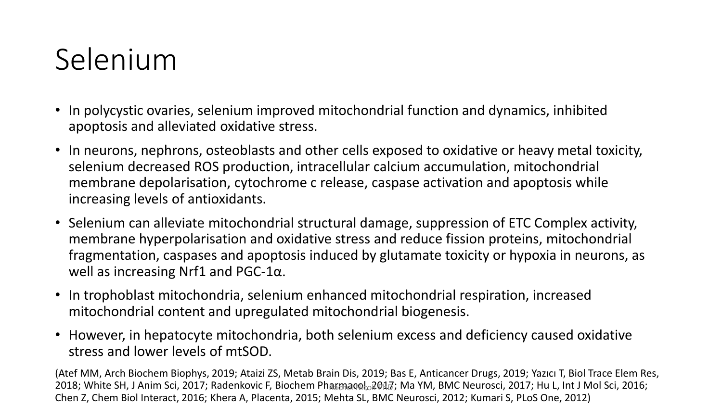### Selenium

- In polycystic ovaries, selenium improved mitochondrial function and dynamics, inhibited apoptosis and alleviated oxidative stress.
- In neurons, nephrons, osteoblasts and other cells exposed to oxidative or heavy metal toxicity, selenium decreased ROS production, intracellular calcium accumulation, mitochondrial membrane depolarisation, cytochrome c release, caspase activation and apoptosis while increasing levels of antioxidants.
- Selenium can alleviate mitochondrial structural damage, suppression of ETC Complex activity, membrane hyperpolarisation and oxidative stress and reduce fission proteins, mitochondrial fragmentation, caspases and apoptosis induced by glutamate toxicity or hypoxia in neurons, as well as increasing Nrf1 and PGC-1 $α$ .
- In trophoblast mitochondria, selenium enhanced mitochondrial respiration, increased mitochondrial content and upregulated mitochondrial biogenesis.
- However, in hepatocyte mitochondria, both selenium excess and deficiency caused oxidative stress and lower levels of mtSOD.

(Atef MM, Arch Biochem Biophys, 2019; Ataizi ZS, Metab Brain Dis, 2019; Bas E, Anticancer Drugs, 2019; Yazıcı T, Biol Trace Elem Res, 2018; White SH, J Anim Sci, 2017; Radenkovic F, Biochem Phaքmaooեշ Dปฏิ; Ma YM, BMC Neurosci, 2017; Hu L, Int J Mol Sci, 2016; Chen Z, Chem Biol Interact, 2016; Khera A, Placenta, 2015; Mehta SL, BMC Neurosci, 2012; Kumari S, PLoS One, 2012)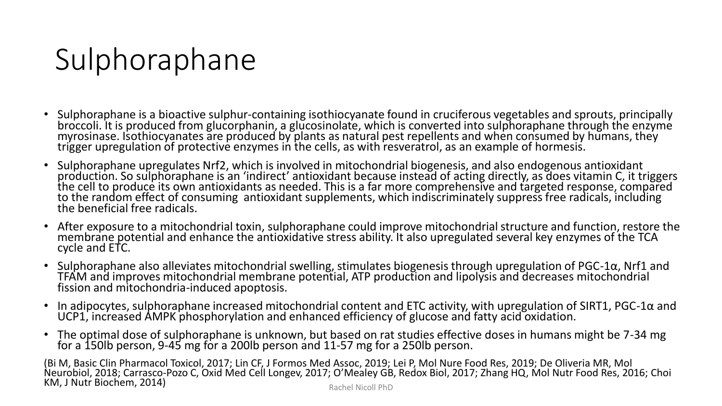### Sulphoraphane

- Sulphoraphane is a bioactive sulphur-containing isothiocyanate found in cruciferous vegetables and sprouts, principally broccoli. It is produced from glucorphanin, a glucosinolate, which is converted into sulphoraphane through the enzyme myrosinase. Isothiocyanates are produced by plants as natural pest repellents and when consumed by humans, they trigger upregulation of protective enzymes in the cells, as with resveratrol, as an example of hormesis.
- Sulphoraphane upregulates Nrf2, which is involved in mitochondrial biogenesis, and also endogenous antioxidant production. So sulphoraphane is an 'indirect' antioxidant because instead of acting directly, as does vitamin C, it triggers the cell to produce its own antioxidants as needed. This is a far more comprehensive and targeted response, compared to the random effect of consuming antioxidant supplements, which indiscriminately suppress free radicals, including the beneficial free radicals.
- After exposure to a mitochondrial toxin, sulphoraphane could improve mitochondrial structure and function, restore the membrane potential and enhance the antioxidative stress ability. It also upregulated several key enzymes of the TCA cycle and ETC.
- Sulphoraphane also alleviates mitochondrial swelling, stimulates biogenesis through upregulation of PGC-1α, Nrf1 and TFAM and improves mitochondrial membrane potential, ATP production and lipolysis and decreases mitochondrial fission and mitochondria-induced apoptosis.
- In adipocytes, sulphoraphane increased mitochondrial content and ETC activity, with upregulation of SIRT1, PGC-1 $\alpha$  and UCP1, increased AMPK phosphorylation and enhanced efficiency of glucose and fatty acid oxidation.
- The optimal dose of sulphoraphane is unknown, but based on rat studies effective doses in humans might be 7-34 mg for a 150lb person, 9-45 mg for a 200lb person and 11-57 mg for a 250lb person.

(Bi M, Basic Clin Pharmacol Toxicol, 2017; Lin CF, J Formos Med Assoc, 2019; Lei P, Mol Nure Food Res, 2019; De Oliveria MR, Mol Neurobiol, 2018; Carrasco-Pozo C, Oxid Med Cell Longev, 2017; O'Mealey GB, Redox Biol, 2017; Zhang HQ, Mol Nutr Food Res, 2016; Choi KM, J Nutr Biochem, 2014) Rachel Nicoll PhD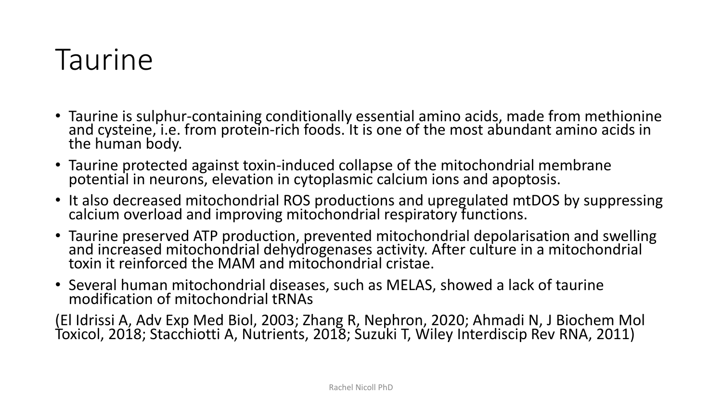#### Taurine

- Taurine is sulphur-containing conditionally essential amino acids, made from methionine and cysteine, i.e. from protein-rich foods. It is one of the most abundant amino acids in the human body.
- Taurine protected against toxin-induced collapse of the mitochondrial membrane potential in neurons, elevation in cytoplasmic calcium ions and apoptosis.
- It also decreased mitochondrial ROS productions and upregulated mtDOS by suppressing calcium overload and improving mitochondrial respiratory functions.
- Taurine preserved ATP production, prevented mitochondrial depolarisation and swelling and increased mitochondrial dehydrogenases activity. After culture in a mitochondrial toxin it reinforced the MAM and mitochondrial cristae.
- Several human mitochondrial diseases, such as MELAS, showed a lack of taurine modification of mitochondrial tRNAs

(El Idrissi A, Adv Exp Med Biol, 2003; Zhang R, Nephron, 2020; Ahmadi N, J Biochem Mol Toxicol, 2018; Stacchiotti A, Nutrients, 2018; Suzuki T, Wiley Interdiscip Rev RNA, 2011)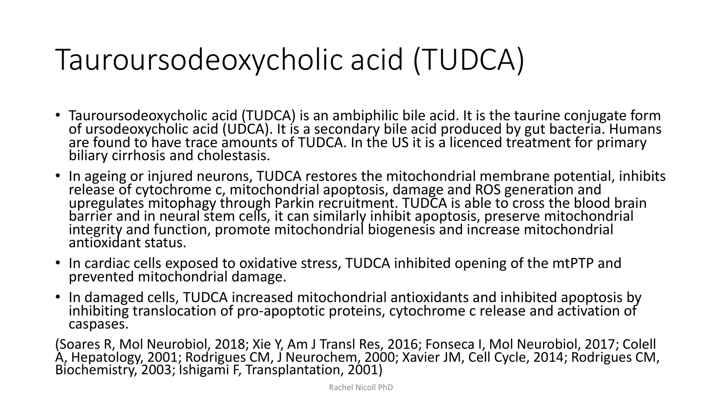### Tauroursodeoxycholic acid (TUDCA)

- Tauroursodeoxycholic acid (TUDCA) is an ambiphilic bile acid. It is the taurine conjugate form of ursodeoxycholic acid (UDCA). It is a secondary bile acid produced by gut bacteria. Humans are found to have trace amounts of TUDCA. In the US it is a licenced treatment for primary biliary cirrhosis and cholestasis.
- In ageing or injured neurons, TUDCA restores the mitochondrial membrane potential, inhibits release of cytochrome c, mitochondrial apoptosis, damage and ROS generation and upregulates mitophagy through Parkin recruitment. TUDCA is able to cross the blood brain barrier and in neural stem cells, it can similarly inhibit apoptosis, preserve mitochondrial integrity and function, promote mitochondrial biogenesis and increase mitochondrial antioxidant status.
- In cardiac cells exposed to oxidative stress, TUDCA inhibited opening of the mtPTP and prevented mitochondrial damage.
- In damaged cells, TUDCA increased mitochondrial antioxidants and inhibited apoptosis by inhibiting translocation of pro-apoptotic proteins, cytochrome c release and activation of caspases.

(Soares R, Mol Neurobiol, 2018; Xie Y, Am J Transl Res, 2016; Fonseca I, Mol Neurobiol, 2017; Colell A, Hepatology, 2001; Rodrigues CM, J Neurochem, 2000; Xavier JM, Cell Cycle, 2014; Rodrigues CM, Biochemistry, 2003; Ishigami F, Transplantation, 2001)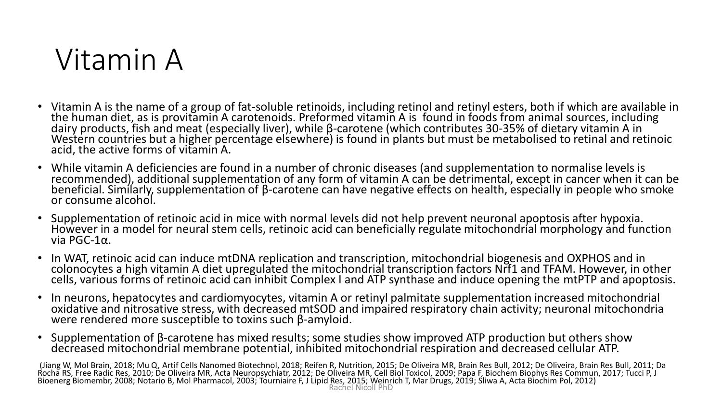#### Vitamin A

- Vitamin A is the name of a group of fat-soluble retinoids, including retinol and retinyl esters, both if which are available in the human diet, as is provitamin A carotenoids. Preformed vitamin A is found in foods from animal sources, including dairy products, fish and meat (especially liver), while β-carotene (which contributes 30-35% of dietary vitamin A in Western countries but a higher percentage elsewhere) is found in plants but must be metabolised to retinal and retinoic acid, the active forms of vitamin A.
- While vitamin A deficiencies are found in a number of chronic diseases (and supplementation to normalise levels is recommended), additional supplementation of any form of vitamin A can be detrimental, except in cancer when it can be beneficial. Similarly, supplementation of β-carotene can have negative effects on health, especially in people who smoke or consume alcohol.
- Supplementation of retinoic acid in mice with normal levels did not help prevent neuronal apoptosis after hypoxia. However in a model for neural stem cells, retinoic acid can beneficially regulate mitochondrial morphology and function via PGC-1α.
- In WAT, retinoic acid can induce mtDNA replication and transcription, mitochondrial biogenesis and OXPHOS and in colonocytes a high vitamin A diet upregulated the mitochondrial transcription factors Nrf1 and TFAM. However, in other cells, various forms of retinoic acid can inhibit Complex I and ATP synthase and induce opening the mtPTP and apoptosis.
- In neurons, hepatocytes and cardiomyocytes, vitamin A or retinyl palmitate supplementation increased mitochondrial oxidative and nitrosative stress, with decreased mtSOD and impaired respiratory chain activity; neuronal mitochondria were rendered more susceptible to toxins such β-amyloid.
- Supplementation of β-carotene has mixed results; some studies show improved ATP production but others show decreased mitochondrial membrane potential, inhibited mitochondrial respiration and decreased cellular ATP.

(Jiang W, Mol Brain, 2018; Mu Q, Artif Cells Nanomed Biotechnol, 2018; Reifen R, Nutrition, 2015; De Oliveira MR, Brain Res Bull, 2012; De Oliveira, Brain Res Bull, 2011; Da Rocha RS, Free Radic Res, 2010; De Oliveira MR, Acta Neuropsychiatr, 2012; De Oliveira MR, Cell Biol Toxicol, 2009; Papa F, Biochem Biophys Res Commun, 2017; Tucci P, J Bioenerg Biomembr, 2008; Notario B, Mol Pharmacol, 2003; Tóurniaire F, J Lipid Res, 2015; Weinrich T, Mar Drugs, 2019; Sliwa A, Acta Biochim Pol, 2012) Rachel Nicoll PhD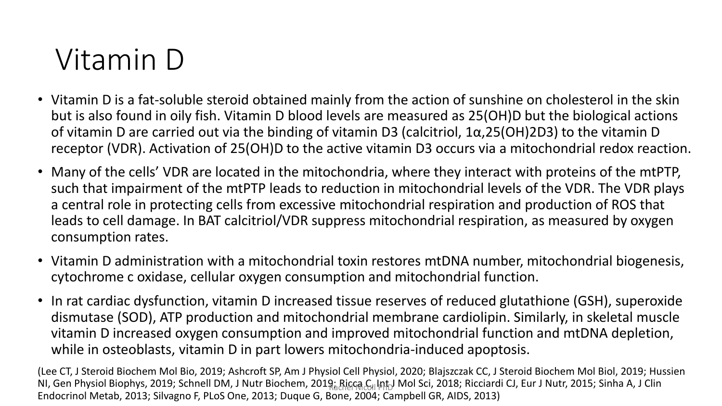### Vitamin D

- Vitamin D is a fat-soluble steroid obtained mainly from the action of sunshine on cholesterol in the skin but is also found in oily fish. Vitamin D blood levels are measured as 25(OH)D but the biological actions of vitamin D are carried out via the binding of vitamin D3 (calcitriol, 1α,25(OH)2D3) to the vitamin D receptor (VDR). Activation of 25(OH)D to the active vitamin D3 occurs via a mitochondrial redox reaction.
- Many of the cells' VDR are located in the mitochondria, where they interact with proteins of the mtPTP, such that impairment of the mtPTP leads to reduction in mitochondrial levels of the VDR. The VDR plays a central role in protecting cells from excessive mitochondrial respiration and production of ROS that leads to cell damage. In BAT calcitriol/VDR suppress mitochondrial respiration, as measured by oxygen consumption rates.
- Vitamin D administration with a mitochondrial toxin restores mtDNA number, mitochondrial biogenesis, cytochrome c oxidase, cellular oxygen consumption and mitochondrial function.
- In rat cardiac dysfunction, vitamin D increased tissue reserves of reduced glutathione (GSH), superoxide dismutase (SOD), ATP production and mitochondrial membrane cardiolipin. Similarly, in skeletal muscle vitamin D increased oxygen consumption and improved mitochondrial function and mtDNA depletion, while in osteoblasts, vitamin D in part lowers mitochondria-induced apoptosis.

(Lee CT, J Steroid Biochem Mol Bio, 2019; Ashcroft SP, Am J Physiol Cell Physiol, 2020; Blajszczak CC, J Steroid Biochem Mol Biol, 2019; Hussien NI, Gen Physiol Biophys, 2019; Schnell DM, J Nutr Biochem, 2019 <sub>ଝ</sub>଼ନାଣୁଦ୍ର <sub>ତ୍ୟା</sub>ାନା Mol Sci, 2018; Ricciardi CJ, Eur J Nutr, 2015; Sinha A, J Clin Endocrinol Metab, 2013; Silvagno F, PLoS One, 2013; Duque G, Bone, 2004; Campbell GR, AIDS, 2013)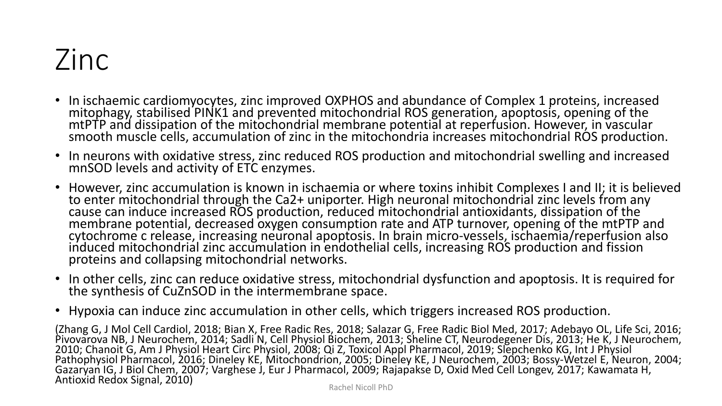### Zinc

- In ischaemic cardiomyocytes, zinc improved OXPHOS and abundance of Complex 1 proteins, increased mitophagy, stabilised PINK1 and prevented mitochondrial ROS generation, apoptosis, opening of the mtPTP and dissipation of the mitochondrial membrane potential at reperfusion. However, in vascular smooth muscle cells, accumulation of zinc in the mitochondria increases mitochondrial ROS production.
- In neurons with oxidative stress, zinc reduced ROS production and mitochondrial swelling and increased mnSOD levels and activity of ETC enzymes.
- However, zinc accumulation is known in ischaemia or where toxins inhibit Complexes I and II; it is believed to enter mitochondrial through the Ca2+ uniporter. High neuronal mitochondrial zinc levels from any cause can induce increased ROS production, reduced mitochondrial antioxidants, dissipation of the membrane potential, decreased oxygen consumption rate and ATP turnover, opening of the mtPTP and cytochrome c release, increasing neuronal apoptosis. In brain micro-vessels, ischaemia/reperfusion also induced mitochondrial zinc accumulation in endothelial cells, increasing ROS production and fission proteins and collapsing mitochondrial networks.
- In other cells, zinc can reduce oxidative stress, mitochondrial dysfunction and apoptosis. It is required for the synthesis of CuZnSOD in the intermembrane space.
- Hypoxia can induce zinc accumulation in other cells, which triggers increased ROS production.

(Zhang G, J Mol Cell Cardiol, 2018; Bian X, Free Radic Res, 2018; Salazar G, Free Radic Biol Med, 2017; Adebayo OL, Life Sci, 2016; Pivovarova NB, J Neurochem, 2014; Sadli N, Cell Physiol Biochem, 2013; Sheline CT, Neurodegener Dis, 2013; He K, J Neurochem, 2010; Chanoit G, Am J Physiol Heart Circ Physiol, 2008; Qi Z, Toxicol Appl Pharmacol, 2019; Slepchenko KG, Int J Physiol Pathophysiol Pharmacol, 2016; Dineley KE, Mitochondrion, 2005; Dineley KE, J Neurochem, 2003; Bossy-Wetzel E, Neuron, 2004; Gazaryan IG, J Biol Chem, 2007; Varghese J, Eur J Pharmacol, 2009; Rajapakse D, Oxid Med Cell Longev, 2017; Kawamata H, Antioxid Redox Signal, 2010)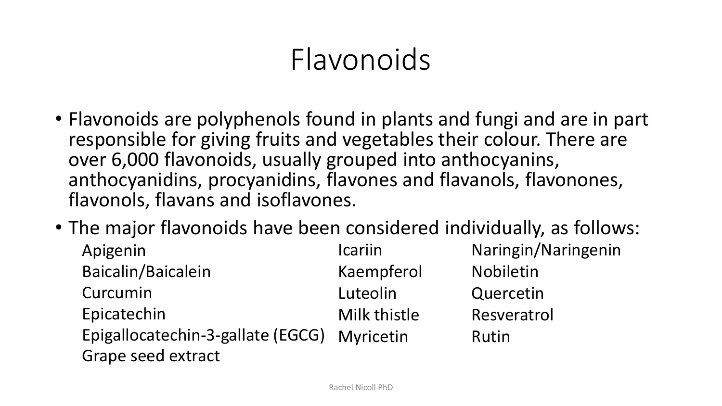#### Flavonoids

- Flavonoids are polyphenols found in plants and fungi and are in part responsible for giving fruits and vegetables their colour. There are over 6,000 flavonoids, usually grouped into anthocyanins, anthocyanidins, procyanidins, flavones and flavanols, flavonones, flavonols, flavans and isoflavones.
- The major flavonoids have been considered individually, as follows:

| Apigenin                                                          | <b>Icariin</b> | Naringin/Naringenin |
|-------------------------------------------------------------------|----------------|---------------------|
| Baicalin/Baicalein                                                | Kaempferol     | Nobiletin           |
| Curcumin                                                          | Luteolin       | Quercetin           |
| Epicatechin                                                       | Milk thistle   | Resveratrol         |
| Epigallocatechin-3-gallate (EGCG) Myricetin<br>Grape seed extract |                | Rutin               |
|                                                                   |                |                     |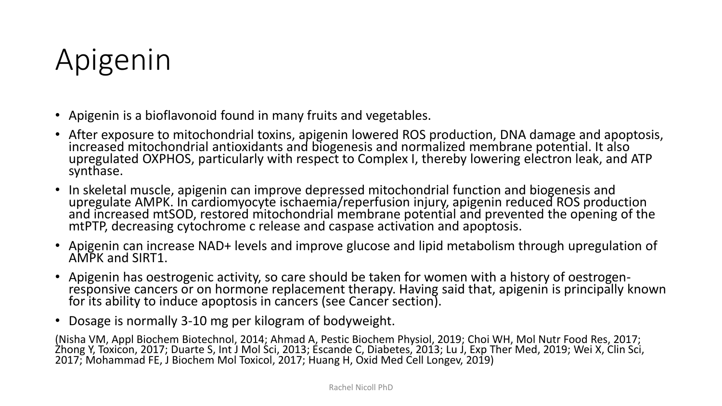### Apigenin

- Apigenin is a bioflavonoid found in many fruits and vegetables.
- After exposure to mitochondrial toxins, apigenin lowered ROS production, DNA damage and apoptosis, increased mitochondrial antioxidants and biogenesis and normalized membrane potential. It also upregulated OXPHOS, particularly with respect to Complex I, thereby lowering electron leak, and ATP synthase.
- In skeletal muscle, apigenin can improve depressed mitochondrial function and biogenesis and upregulate AMPK. In cardiomyocyte ischaemia/reperfusion injury, apigenin reduced ROS production and increased mtSOD, restored mitochondrial membrane potential and prevented the opening of the mtPTP, decreasing cytochrome c release and caspase activation and apoptosis.
- Apigenin can increase NAD+ levels and improve glucose and lipid metabolism through upregulation of AMPK and SIRT1.
- Apigenin has oestrogenic activity, so care should be taken for women with a history of oestrogenresponsive cancers or on hormone replacement therapy. Having said that, apigenin is principally known for its ability to induce apoptosis in cancers (see Cancer section).
- Dosage is normally 3-10 mg per kilogram of bodyweight.

(Nisha VM, Appl Biochem Biotechnol, 2014; Ahmad A, Pestic Biochem Physiol, 2019; Choi WH, Mol Nutr Food Res, 2017; Zhong Y, Toxicon, 2017; Duarte S, Int J Mol Sci, 2013; Escande C, Diabetes, 2013; Lu J, Exp Ther Med, 2019; Wei X, Clin Sci, 2017; Mohammad FE, J Biochem Mol Toxicol, 2017; Huang H, Oxid Med Cell Longev, 2019)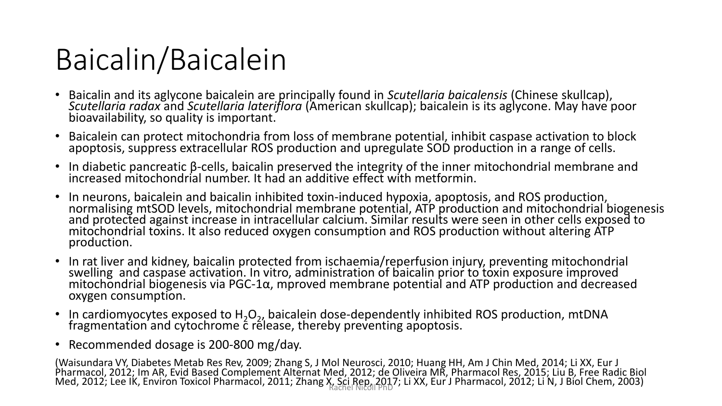### Baicalin/Baicalein

- Baicalin and its aglycone baicalein are principally found in *Scutellaria baicalensis* (Chinese skullcap), *Scutellaria radax* and *Scutellaria lateriflora* (American skullcap); baicalein is its aglycone. May have poor bioavailability, so quality is important.
- Baicalein can protect mitochondria from loss of membrane potential, inhibit caspase activation to block apoptosis, suppress extracellular ROS production and upregulate SOD production in a range of cells.
- In diabetic pancreatic β-cells, baicalin preserved the integrity of the inner mitochondrial membrane and increased mitochondrial number. It had an additive effect with metformin.
- In neurons, baicalein and baicalin inhibited toxin-induced hypoxia, apoptosis, and ROS production, normalising mtSOD levels, mitochondrial membrane potential, ATP production and mitochondrial biogenesis and protected against increase in intracellular calcium. Similar results were seen in other cells exposed to mitochondrial toxins. It also reduced oxygen consumption and ROS production without altering ATP production.
- In rat liver and kidney, baicalin protected from ischaemia/reperfusion injury, preventing mitochondrial swelling and caspase activation. In vitro, administration of baicalin prior to toxin exposure improved  $m$ itochondrial biogenesis via PGC-1α, mproved membrane potential and ATP production and decreased oxygen consumption.
- In cardiomyocytes exposed to  $H_2O_2$ , baicalein dose-dependently inhibited ROS production, mtDNA fragmentation and cytochrome  $\acute{\text{c}}$  rélease, thereby preventing apoptosis.
- Recommended dosage is 200-800 mg/day.

(Waisundara VY, Diabetes Metab Res Rev, 2009; Zhang S, J Mol Neurosci, 2010; Huang HH, Am J Chin Med, 2014; Li XX, Eur J Pharmacol, 2012; Im AR, Evid Based Complement Alternat Med, 2012; de Oliveira MR, Pharmacol Res, 2015; Liu B, Free Radic Biol Med, 2012; Lee IK, Environ Toxicol Pharmacol, 2011; Zhang X, Sci Rep., 2017; Li XX, Eur J Pharmacol, 2012; Li N, J Biol Chem, 2003)<br>Rachel Niegl PhD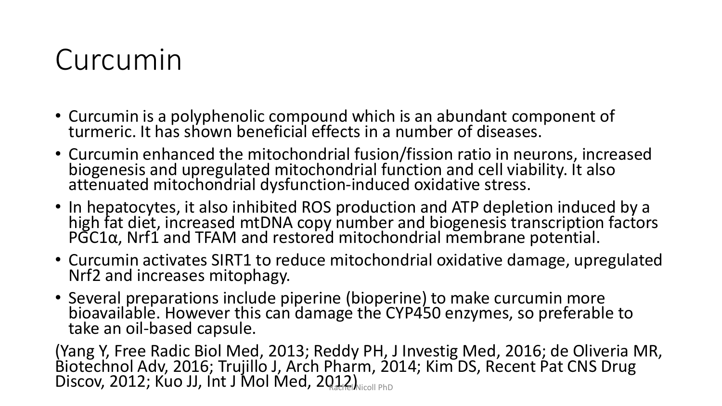#### Curcumin

- Curcumin is a polyphenolic compound which is an abundant component of turmeric. It has shown beneficial effects in a number of diseases.
- Curcumin enhanced the mitochondrial fusion/fission ratio in neurons, increased biogenesis and upregulated mitochondrial function and cell viability. It also attenuated mitochondrial dysfunction-induced oxidative stress.
- In hepatocytes, it also inhibited ROS production and ATP depletion induced by a high fat diet, increased mtDNA copy number and biogenesis transcription factors PGC1α, Nrf1 and TFAM and restored mitochondrial membrane potential.
- Curcumin activates SIRT1 to reduce mitochondrial oxidative damage, upregulated Nrf2 and increases mitophagy.
- Several preparations include piperine (bioperine) to make curcumin more bioavailable. However this can damage the CYP450 enzymes, so preferable to take an oil-based capsule.

(Yang Y, Free Radic Biol Med, 2013; Reddy PH, J Investig Med, 2016; de Oliveria MR, Biotechnol Adv, 2016; Trujillo J, Arch Pharm, 2014; Kim DS, Recent Pat CNS Drug Discov, 2012; Kuo JJ, Int J Mol Med, 2012) Nicoll PhD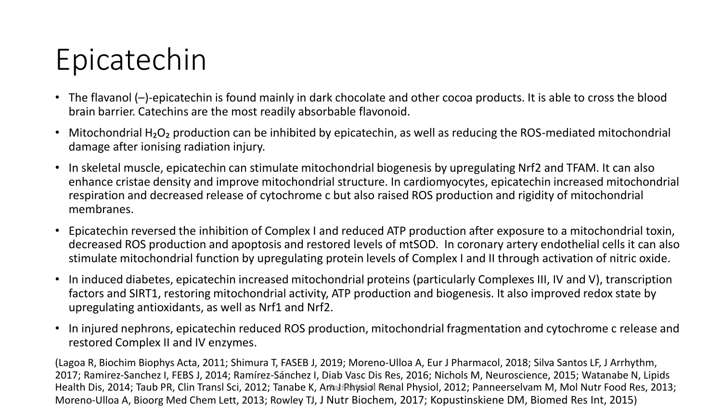### Epicatechin

- The flavanol (–)-epicatechin is found mainly in dark chocolate and other cocoa products. It is able to cross the blood brain barrier. Catechins are the most readily absorbable flavonoid.
- Mitochondrial H<sub>2</sub>O<sub>2</sub> production can be inhibited by epicatechin, as well as reducing the ROS-mediated mitochondrial damage after ionising radiation injury.
- In skeletal muscle, epicatechin can stimulate mitochondrial biogenesis by upregulating Nrf2 and TFAM. It can also enhance cristae density and improve mitochondrial structure. In cardiomyocytes, epicatechin increased mitochondrial respiration and decreased release of cytochrome c but also raised ROS production and rigidity of mitochondrial membranes.
- Epicatechin reversed the inhibition of Complex I and reduced ATP production after exposure to a mitochondrial toxin, decreased ROS production and apoptosis and restored levels of mtSOD. In coronary artery endothelial cells it can also stimulate mitochondrial function by upregulating protein levels of Complex I and II through activation of nitric oxide.
- In induced diabetes, epicatechin increased mitochondrial proteins (particularly Complexes III, IV and V), transcription factors and SIRT1, restoring mitochondrial activity, ATP production and biogenesis. It also improved redox state by upregulating antioxidants, as well as Nrf1 and Nrf2.
- In injured nephrons, epicatechin reduced ROS production, mitochondrial fragmentation and cytochrome c release and restored Complex II and IV enzymes.

(Lagoa R, Biochim Biophys Acta, 2011; Shimura T, FASEB J, 2019; Moreno-Ulloa A, Eur J Pharmacol, 2018; Silva Santos LF, J Arrhythm, 2017; Ramirez-Sanchez I, FEBS J, 2014; Ramírez-Sánchez I, Diab Vasc Dis Res, 2016; Nichols M, Neuroscience, 2015; Watanabe N, Lipids Health Dis, 2014; Taub PR, Clin Transl Sci, 2012; Tanabe K, Amat Physiol Renal Physiol, 2012; Panneerselvam M, Mol Nutr Food Res, 2013; Moreno-Ulloa A, Bioorg Med Chem Lett, 2013; Rowley TJ, J Nutr Biochem, 2017; Kopustinskiene DM, Biomed Res Int, 2015)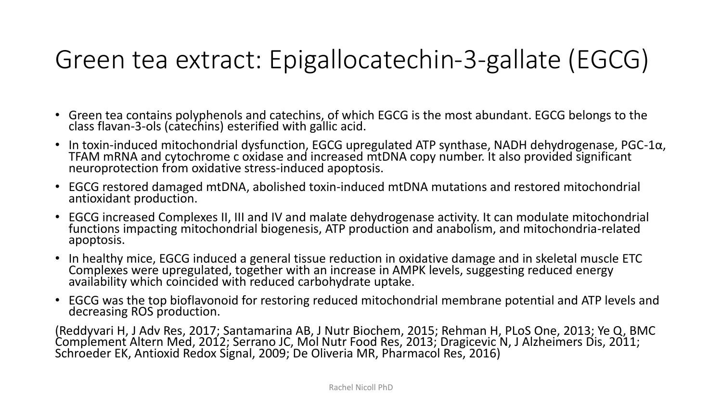#### Green tea extract: Epigallocatechin-3-gallate (EGCG)

- Green tea contains polyphenols and catechins, of which EGCG is the most abundant. EGCG belongs to the class flavan-3-ols (catechins) esterified with gallic acid.
- In toxin-induced mitochondrial dysfunction, EGCG upregulated ATP synthase, NADH dehydrogenase, PGC-1 $\alpha$ , TFAM mRNA and cytochrome c oxidase and increased mtDNA copy number. It also provided significant neuroprotection from oxidative stress-induced apoptosis.
- EGCG restored damaged mtDNA, abolished toxin-induced mtDNA mutations and restored mitochondrial antioxidant production.
- EGCG increased Complexes II, III and IV and malate dehydrogenase activity. It can modulate mitochondrial functions impacting mitochondrial biogenesis, ATP production and anabolism, and mitochondria-related apoptosis.
- In healthy mice, EGCG induced a general tissue reduction in oxidative damage and in skeletal muscle ETC Complexes were upregulated, together with an increase in AMPK levels, suggesting reduced energy availability which coincided with reduced carbohydrate uptake.
- EGCG was the top bioflavonoid for restoring reduced mitochondrial membrane potential and ATP levels and decreasing ROS production.

(Reddyvari H, J Adv Res, 2017; Santamarina AB, J Nutr Biochem, 2015; Rehman H, PLoS One, 2013; Ye Q, BMC Complement Altern Med, 2012; Serrano JC, Mol Nutr Food Res, 2013; Dragicevic N, J Alzheimers Dis, 2011; Schroeder EK, Antioxid Redox Signal, 2009; De Oliveria MR, Pharmacol Res, 2016)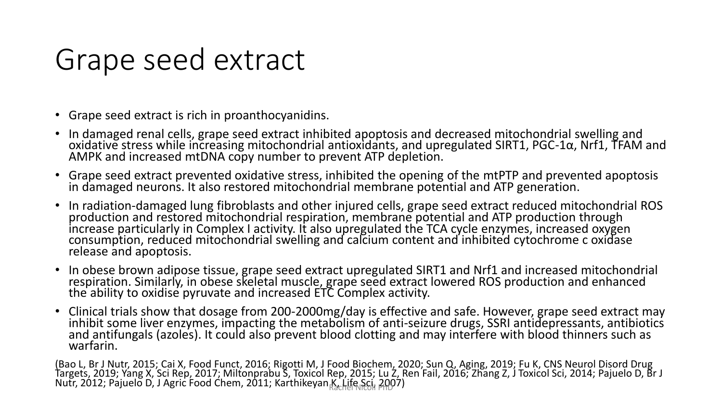#### Grape seed extract

- Grape seed extract is rich in proanthocyanidins.
- In damaged renal cells, grape seed extract inhibited apoptosis and decreased mitochondrial swelling and oxidative stress while increasing mitochondrial antioxidants, and upregulated SIRT1, PGC-1 $\alpha$ , Nrf1, TFAM and AMPK and increased mtDNA copy number to prevent ATP depletion.
- Grape seed extract prevented oxidative stress, inhibited the opening of the mtPTP and prevented apoptosis in damaged neurons. It also restored mitochondrial membrane potential and ATP generation.
- In radiation-damaged lung fibroblasts and other injured cells, grape seed extract reduced mitochondrial ROS production and restored mitochondrial respiration, membrane potential and ATP production through increase particularly in Complex I activity. It also upregulated the TCA cycle enzymes, increased oxygen consumption, reduced mitochondrial swelling and calcium content and inhibited cytochrome c oxidase release and apoptosis.
- In obese brown adipose tissue, grape seed extract upregulated SIRT1 and Nrf1 and increased mitochondrial respiration. Similarly, in obese skeletal muscle, grape seed extract lowered ROS production and enhanced the ability to oxidise pyruvate and increased ETC Complex activity.
- Clinical trials show that dosage from 200-2000mg/day is effective and safe. However, grape seed extract may inhibit some liver enzymes, impacting the metabolism of anti-seizure drugs, SSRI antidepressants, antibiotics and antifungals (azoles). It could also prevent blood clotting and may interfere with blood thinners such as warfarin.

(Bao L, Br J Nutr, 2015; Cai X, Food Funct, 2016; Rigotti M, J Food Biochem, 2020; Sun Q, Aging, 2019; Fu K, CNS Neurol Disord Drug Targets, 2019; Yang X, Sci Rep, 2017; Miltonprabu S, Toxicol Rep, 2015; Lu Z, Ren Fail, 2016; Zhang Z, J Toxicol Sci, 2014; Pajuelo D, Br J Nutr, 2012; Pajuelo D, J Agric Food Chem, 2011; Karthikeyan K, Life Sci, 2007)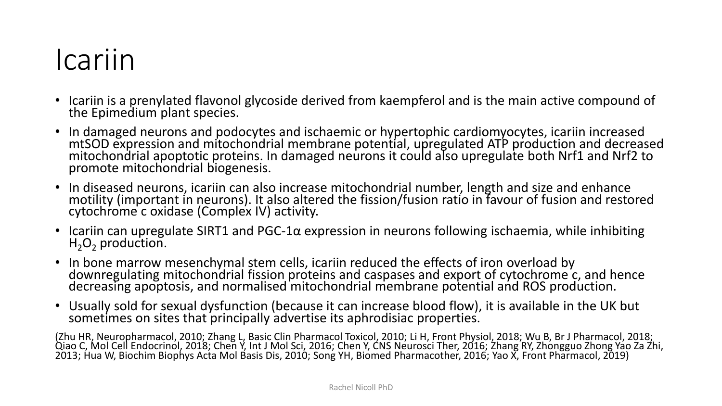#### Icariin

- Icariin is a prenylated flavonol glycoside derived from kaempferol and is the main active compound of the Epimedium plant species.
- In damaged neurons and podocytes and ischaemic or hypertophic cardiomyocytes, icariin increased mtSOD expression and mitochondrial membrane potential, upregulated ATP production and decreased mitochondrial apoptotic proteins. In damaged neurons it could also upregulate both Nrf1 and Nrf2 to promote mitochondrial biogenesis.
- In diseased neurons, icariin can also increase mitochondrial number, length and size and enhance motility (important in neurons). It also altered the fission/fusion ratio in favour of fusion and restored cytochrome c oxidase (Complex IV) activity.
- Icariin can upregulate SIRT1 and PGC-1 $\alpha$  expression in neurons following ischaemia, while inhibiting  $H_2O_2$  production.
- In bone marrow mesenchymal stem cells, icariin reduced the effects of iron overload by downregulating mitochondrial fission proteins and caspases and export of cytochrome c, and hence decreasing apoptosis, and normalised mitochondrial membrane potential and ROS production.
- Usually sold for sexual dysfunction (because it can increase blood flow), it is available in the UK but sometimes on sites that principally advertise its aphrodisiac properties.

(Zhu HR, Neuropharmacol, 2010; Zhang L, Basic Clin Pharmacol Toxicol, 2010; Li H, Front Physiol, 2018; Wu B, Br J Pharmacol, 2018; Qiao C, Mol Cell Endocrinol, 2018; Chen Y, Int J Mol Sci, 2016; Chen Y, CNS Neurosci Ther, 2016; Zhang RY, Zhongguo Zhong Yao Za Zhi, 2013; Hua W, Biochim Biophys Acta Mol Basis Dis, 2010; Song YH, Biomed Pharmacother, 2016; Yao X, Front Pharmacol, 2019)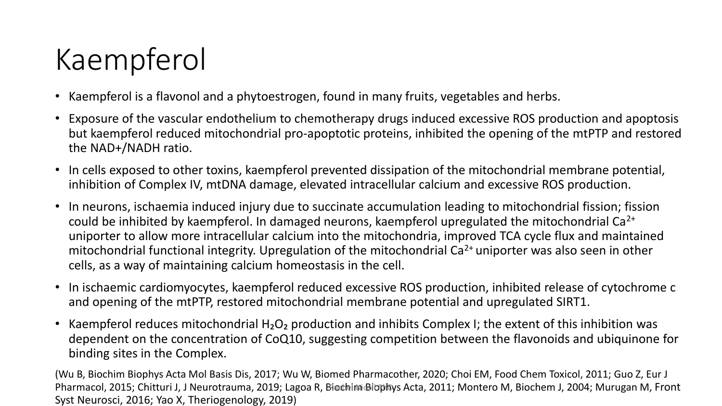### Kaempferol

- Kaempferol is a flavonol and a phytoestrogen, found in many fruits, vegetables and herbs.
- Exposure of the vascular endothelium to chemotherapy drugs induced excessive ROS production and apoptosis but kaempferol reduced mitochondrial pro-apoptotic proteins, inhibited the opening of the mtPTP and restored the NAD+/NADH ratio.
- In cells exposed to other toxins, kaempferol prevented dissipation of the mitochondrial membrane potential, inhibition of Complex IV, mtDNA damage, elevated intracellular calcium and excessive ROS production.
- In neurons, ischaemia induced injury due to succinate accumulation leading to mitochondrial fission; fission could be inhibited by kaempferol. In damaged neurons, kaempferol upregulated the mitochondrial Ca<sup>2+</sup> uniporter to allow more intracellular calcium into the mitochondria, improved TCA cycle flux and maintained mitochondrial functional integrity. Upregulation of the mitochondrial  $Ca<sup>2+</sup>$  uniporter was also seen in other cells, as a way of maintaining calcium homeostasis in the cell.
- In ischaemic cardiomyocytes, kaempferol reduced excessive ROS production, inhibited release of cytochrome c and opening of the mtPTP, restored mitochondrial membrane potential and upregulated SIRT1.
- Kaempferol reduces mitochondrial  $H_2O_2$  production and inhibits Complex I; the extent of this inhibition was dependent on the concentration of CoQ10, suggesting competition between the flavonoids and ubiquinone for binding sites in the Complex.

(Wu B, Biochim Biophys Acta Mol Basis Dis, 2017; Wu W, Biomed Pharmacother, 2020; Choi EM, Food Chem Toxicol, 2011; Guo Z, Eur J Pharmacol, 2015; Chitturi J, J Neurotrauma, 2019; Lagoa R, Biochim Biophys Acta, 2011; Montero M, Biochem J, 2004; Murugan M, Front Syst Neurosci, 2016; Yao X, Theriogenology, 2019)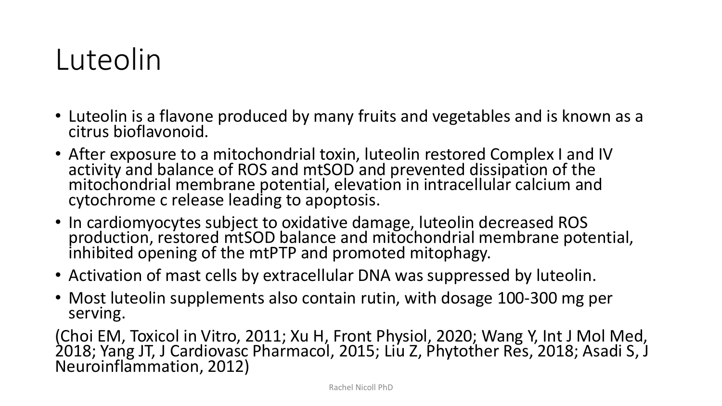### Luteolin

- Luteolin is a flavone produced by many fruits and vegetables and is known as a citrus bioflavonoid.
- After exposure to a mitochondrial toxin, luteolin restored Complex I and IV activity and balance of ROS and mtSOD and prevented dissipation of the mitochondrial membrane potential, elevation in intracellular calcium and cytochrome c release leading to apoptosis.
- In cardiomyocytes subject to oxidative damage, luteolin decreased ROS production, restored mtSOD balance and mitochondrial membrane potential, inhibited opening of the mtPTP and promoted mitophagy.
- Activation of mast cells by extracellular DNA was suppressed by luteolin.
- Most luteolin supplements also contain rutin, with dosage 100-300 mg per serving.

(Choi EM, Toxicol in Vitro, 2011; Xu H, Front Physiol, 2020; Wang Y, Int J Mol Med, 2018; Yang JT, J Cardiovasc Pharmacol, 2015; Liu Z, Phytother Res, 2018; Asadi S, J Neuroinflammation, 2012)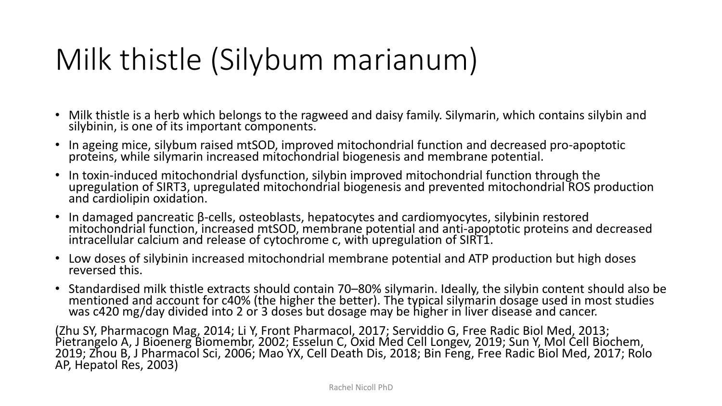### Milk thistle (Silybum marianum)

- Milk thistle is a herb which belongs to the ragweed and daisy family. Silymarin, which contains silybin and silybinin, is one of its important components.
- In ageing mice, silybum raised mtSOD, improved mitochondrial function and decreased pro-apoptotic proteins, while silymarin increased mitochondrial biogenesis and membrane potential.
- In toxin-induced mitochondrial dysfunction, silybin improved mitochondrial function through the upregulation of SIRT3, upregulated mitochondrial biogenesis and prevented mitochondrial ROS production and cardiolipin oxidation.
- In damaged pancreatic β-cells, osteoblasts, hepatocytes and cardiomyocytes, silybinin restored mitochondrial function, increased mtSOD, membrane potential and anti-apoptotic proteins and decreased intracellular calcium and release of cytochrome c, with upregulation of SIRT1.
- Low doses of silybinin increased mitochondrial membrane potential and ATP production but high doses reversed this.
- Standardised milk thistle extracts should contain 70–80% silymarin. Ideally, the silybin content should also be mentioned and account for c40% (the higher the better). The typical silymarin dosage used in most studies was c420 mg/day divided into 2 or 3 doses but dosage may be higher in liver disease and cancer.

(Zhu SY, Pharmacogn Mag, 2014; Li Y, Front Pharmacol, 2017; Serviddio G, Free Radic Biol Med, 2013; Pietrangelo A, J Bioenerg Biomembr, 2002; Esselun C, Oxid Med Cell Longev, 2019; Sun Y, Mol Cell Biochem, 2019; Zhou B, J Pharmacol Sci, 2006; Mao YX, Cell Death Dis, 2018; Bin Feng, Free Radic Biol Med, 2017; Rolo AP, Hepatol Res, 2003)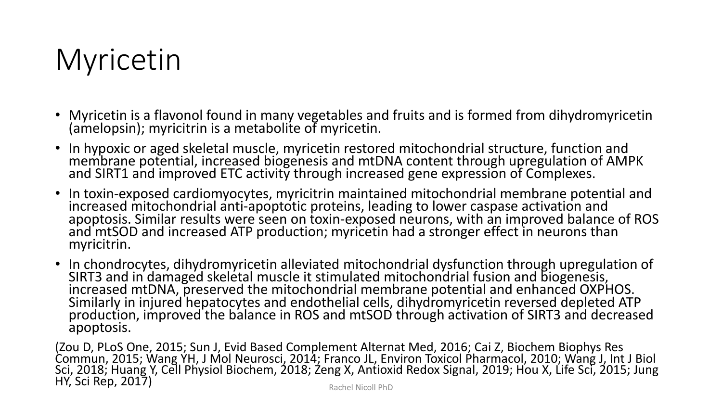### Myricetin

- Myricetin is a flavonol found in many vegetables and fruits and is formed from dihydromyricetin (amelopsin); myricitrin is a metabolite of myricetin.
- In hypoxic or aged skeletal muscle, myricetin restored mitochondrial structure, function and membrane potential, increased biogenesis and mtDNA content through upregulation of AMPK and SIRT1 and improved ETC activity through increased gene expression of Complexes.
- In toxin-exposed cardiomyocytes, myricitrin maintained mitochondrial membrane potential and increased mitochondrial anti-apoptotic proteins, leading to lower caspase activation and apoptosis. Similar results were seen on toxin-exposed neurons, with an improved balance of ROS and mtSOD and increased ATP production; myricetin had a stronger effect in neurons than myricitrin.
- In chondrocytes, dihydromyricetin alleviated mitochondrial dysfunction through upregulation of SIRT3 and in damaged skeletal muscle it stimulated mitochondrial fusion and biogenesis, increased mtDNA, preserved the mitochondrial membrane potential and enhanced OXPHOS. Similarly in injured hepatocytes and endothelial cells, dihydromyricetin reversed depleted ATP production, improved the balance in ROS and mtSOD through activation of SIRT3 and decreased apoptosis.

(Zou D, PLoS One, 2015; Sun J, Evid Based Complement Alternat Med, 2016; Cai Z, Biochem Biophys Res Commun, 2015; Wang YH, J Mol Neurosci, 2014; Franco JL, Environ Toxicol Pharmacol, 2010; Wang J, Int J Biol Sci, 2018; Huang Y, Cell Physiol Biochem, 2018; Zeng X, Antioxid Redox Signal, 2019; Hou X, Life Sci, 2015; Jung HY, Sci Rep, 2017) Rachel Nicoll PhD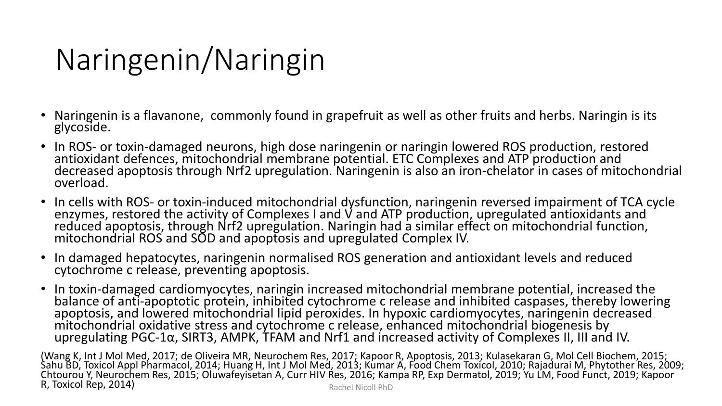### Naringenin/Naringin

- Naringenin is a flavanone, commonly found in grapefruit as well as other fruits and herbs. Naringin is its glycoside.
- In ROS- or toxin-damaged neurons, high dose naringenin or naringin lowered ROS production, restored antioxidant defences, mitochondrial membrane potential. ETC Complexes and ATP production and decreased apoptosis through Nrf2 upregulation. Naringenin is also an iron-chelator in cases of mitochondrial overload.
- In cells with ROS- or toxin-induced mitochondrial dysfunction, naringenin reversed impairment of TCA cycle enzymes, restored the activity of Complexes I and V and ATP production, upregulated antioxidants and reduced apoptosis, through Nrf2 upregulation. Naringin had a similar effect on mitochondrial function, mitochondrial ROS and SOD and apoptosis and upregulated Complex IV.
- In damaged hepatocytes, naringenin normalised ROS generation and antioxidant levels and reduced cytochrome c release, preventing apoptosis.
- In toxin-damaged cardiomyocytes, naringin increased mitochondrial membrane potential, increased the balance of anti-apoptotic protein, inhibited cytochrome c release and inhibited caspases, thereby lowering apoptosis, and lowered mitochondrial lipid peroxides. In hypoxic cardiomyocytes, naringenin decreased mitochondrial oxidative stress and cytochrome c release, enhanced mitochondrial biogenesis by upregulating PGC-1α, SIRT3, AMPK, TFAM and Nrf1 and increased activity of Complexes II, III and IV.

(Wang K, Int J Mol Med, 2017; de Oliveira MR, Neurochem Res, 2017; Kapoor R, Apoptosis, 2013; Kulasekaran G, Mol Cell Biochem, 2015; Sahu BD, Toxicol Appl Pharmacol, 2014; Huang H, Int J Mol Med, 2013; Kumar A, Food Chem Toxicol, 2010; Rajadurai M, Phytother Res, 2009; Chtourou Y, Neurochem Res, 2015; Oluwafeyisetan A, Curr HIV Res, 2016; Kampa RP, Exp Dermatol, 2019; Yu LM, Food Funct, 2019; Kapoor R, Toxicol Rep, 2014) Republic Contract Contract Contract Contract Contract Contract Contract Contract Contract Contract Contract Contract Contract Contract Contract Contract Contract Contract Contract Contract Contract Co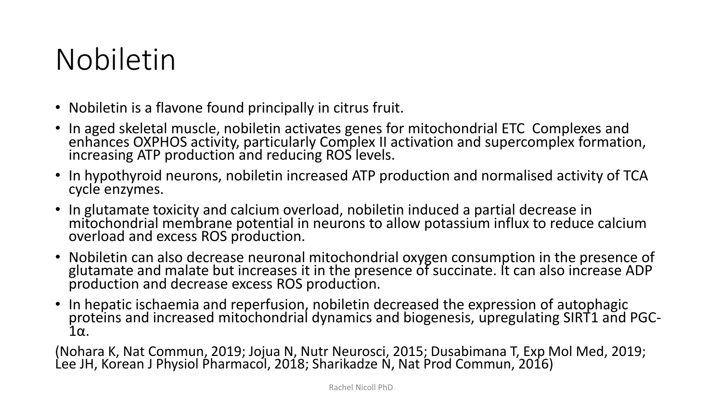### Nobiletin

- Nobiletin is a flavone found principally in citrus fruit.
- In aged skeletal muscle, nobiletin activates genes for mitochondrial ETC Complexes and enhances OXPHOS activity, particularly Complex II activation and supercomplex formation, increasing ATP production and reducing ROS levels.
- In hypothyroid neurons, nobiletin increased ATP production and normalised activity of TCA cycle enzymes.
- In glutamate toxicity and calcium overload, nobiletin induced a partial decrease in mitochondrial membrane potential in neurons to allow potassium influx to reduce calcium overload and excess ROS production.
- Nobiletin can also decrease neuronal mitochondrial oxygen consumption in the presence of glutamate and malate but increases it in the presence of succinate. It can also increase ADP production and decrease excess ROS production.
- In hepatic ischaemia and reperfusion, nobiletin decreased the expression of autophagic proteins and increased mitochondrial dynamics and biogenesis, upregulating SIRT1 and PGC-1α.

(Nohara K, Nat Commun, 2019; Jojua N, Nutr Neurosci, 2015; Dusabimana T, Exp Mol Med, 2019; Lee JH, Korean J Physiol Pharmacol, 2018; Sharikadze N, Nat Prod Commun, 2016)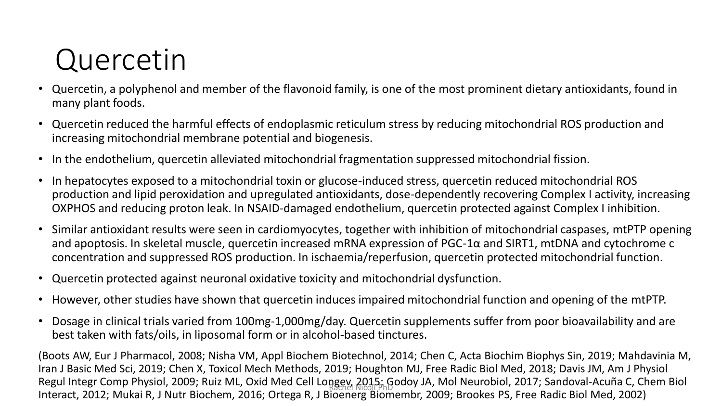### Quercetin

- Quercetin, a polyphenol and member of the flavonoid family, is one of the most prominent dietary antioxidants, found in many plant foods.
- Quercetin reduced the harmful effects of endoplasmic reticulum stress by reducing mitochondrial ROS production and increasing mitochondrial membrane potential and biogenesis.
- In the endothelium, quercetin alleviated mitochondrial fragmentation suppressed mitochondrial fission.
- In hepatocytes exposed to a mitochondrial toxin or glucose-induced stress, quercetin reduced mitochondrial ROS production and lipid peroxidation and upregulated antioxidants, dose-dependently recovering Complex I activity, increasing OXPHOS and reducing proton leak. In NSAID-damaged endothelium, quercetin protected against Complex I inhibition.
- Similar antioxidant results were seen in cardiomyocytes, together with inhibition of mitochondrial caspases, mtPTP opening and apoptosis. In skeletal muscle, quercetin increased mRNA expression of PGC-1α and SIRT1, mtDNA and cytochrome c concentration and suppressed ROS production. In ischaemia/reperfusion, quercetin protected mitochondrial function.
- Quercetin protected against neuronal oxidative toxicity and mitochondrial dysfunction.
- However, other studies have shown that quercetin induces impaired mitochondrial function and opening of the mtPTP.
- Dosage in clinical trials varied from 100mg-1,000mg/day. Quercetin supplements suffer from poor bioavailability and are best taken with fats/oils, in liposomal form or in alcohol-based tinctures.

(Boots AW, Eur J Pharmacol, 2008; Nisha VM, Appl Biochem Biotechnol, 2014; Chen C, Acta Biochim Biophys Sin, 2019; Mahdavinia M, Iran J Basic Med Sci, 2019; Chen X, Toxicol Mech Methods, 2019; Houghton MJ, Free Radic Biol Med, 2018; Davis JM, Am J Physiol Regul Integr Comp Physiol, 2009; Ruiz ML, Oxid Med Cell Longey, 2015; Godoy JA, Mol Neurobiol, 2017; Sandoval-Acuña C, Chem Biol<br>Rachel Nicolae (1990), Carlo Partie Carlo Partie De La Presidence Carlo Partie De La Presiden Interact, 2012; Mukai R, J Nutr Biochem, 2016; Ortega R, J Bioenerg Biomembr, 2009; Brookes PS, Free Radic Biol Med, 2002)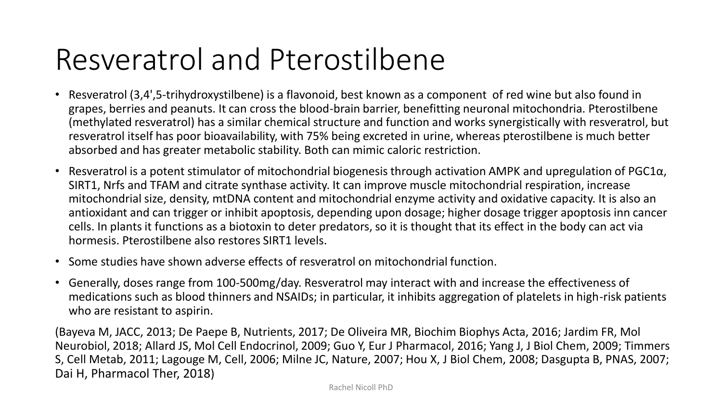#### Resveratrol and Pterostilbene

- Resveratrol (3,4',5-trihydroxystilbene) is a flavonoid, best known as a component of red wine but also found in grapes, berries and peanuts. It can cross the blood-brain barrier, benefitting neuronal mitochondria. Pterostilbene (methylated resveratrol) has a similar chemical structure and function and works synergistically with resveratrol, but resveratrol itself has poor bioavailability, with 75% being excreted in urine, whereas pterostilbene is much better absorbed and has greater metabolic stability. Both can mimic caloric restriction.
- Resveratrol is a potent stimulator of mitochondrial biogenesis through activation AMPK and upregulation of PGC1 $\alpha$ , SIRT1, Nrfs and TFAM and citrate synthase activity. It can improve muscle mitochondrial respiration, increase mitochondrial size, density, mtDNA content and mitochondrial enzyme activity and oxidative capacity. It is also an antioxidant and can trigger or inhibit apoptosis, depending upon dosage; higher dosage trigger apoptosis inn cancer cells. In plants it functions as a biotoxin to deter predators, so it is thought that its effect in the body can act via hormesis. Pterostilbene also restores SIRT1 levels.
- Some studies have shown adverse effects of resveratrol on mitochondrial function.
- Generally, doses range from 100-500mg/day. Resveratrol may interact with and increase the effectiveness of medications such as blood thinners and NSAIDs; in particular, it inhibits aggregation of platelets in high-risk patients who are resistant to aspirin.

(Bayeva M, JACC, 2013; De Paepe B, Nutrients, 2017; De Oliveira MR, Biochim Biophys Acta, 2016; Jardim FR, Mol Neurobiol, 2018; Allard JS, Mol Cell Endocrinol, 2009; Guo Y, Eur J Pharmacol, 2016; Yang J, J Biol Chem, 2009; Timmers S, Cell Metab, 2011; Lagouge M, Cell, 2006; Milne JC, Nature, 2007; Hou X, J Biol Chem, 2008; Dasgupta B, PNAS, 2007; Dai H, Pharmacol Ther, 2018)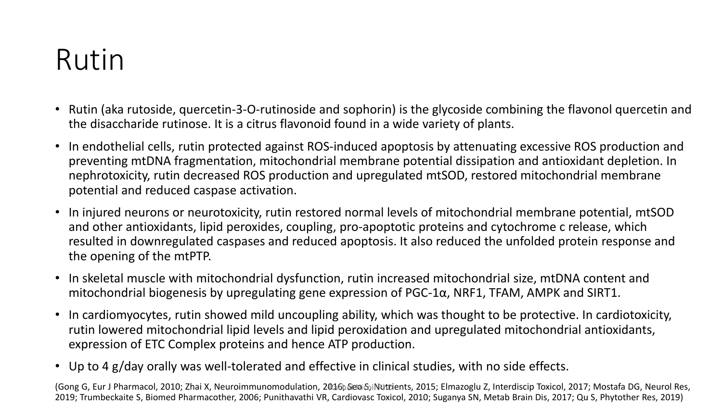### Rutin

- Rutin (aka rutoside, quercetin-3-O-rutinoside and sophorin) is the glycoside combining the flavonol quercetin and the disaccharide rutinose. It is a citrus flavonoid found in a wide variety of plants.
- In endothelial cells, rutin protected against ROS-induced apoptosis by attenuating excessive ROS production and preventing mtDNA fragmentation, mitochondrial membrane potential dissipation and antioxidant depletion. In nephrotoxicity, rutin decreased ROS production and upregulated mtSOD, restored mitochondrial membrane potential and reduced caspase activation.
- In injured neurons or neurotoxicity, rutin restored normal levels of mitochondrial membrane potential, mtSOD and other antioxidants, lipid peroxides, coupling, pro-apoptotic proteins and cytochrome c release, which resulted in downregulated caspases and reduced apoptosis. It also reduced the unfolded protein response and the opening of the mtPTP.
- In skeletal muscle with mitochondrial dysfunction, rutin increased mitochondrial size, mtDNA content and mitochondrial biogenesis by upregulating gene expression of PGC-1 $\alpha$ , NRF1, TFAM, AMPK and SIRT1.
- In cardiomyocytes, rutin showed mild uncoupling ability, which was thought to be protective. In cardiotoxicity, rutin lowered mitochondrial lipid levels and lipid peroxidation and upregulated mitochondrial antioxidants, expression of ETC Complex proteins and hence ATP production.
- Up to 4 g/day orally was well-tolerated and effective in clinical studies, with no side effects.

(Gong G, Eur J Pharmacol, 2010; Zhai X, Neuroimmunomodulation, 2016h Seo SplNutrients, 2015; Elmazoglu Z, Interdiscip Toxicol, 2017; Mostafa DG, Neurol Res, 2019; Trumbeckaite S, Biomed Pharmacother, 2006; Punithavathi VR, Cardiovasc Toxicol, 2010; Suganya SN, Metab Brain Dis, 2017; Qu S, Phytother Res, 2019)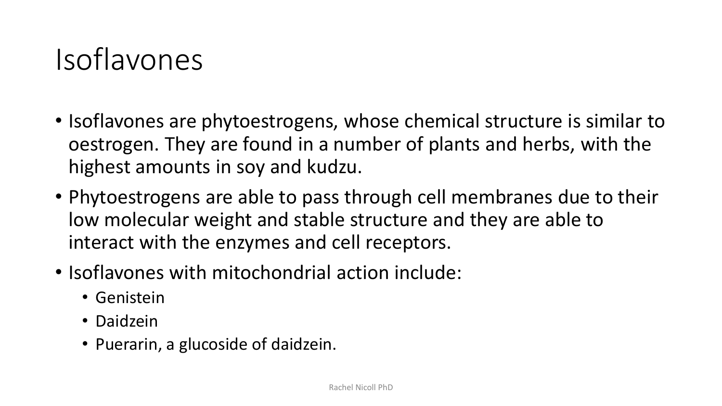#### Isoflavones

- Isoflavones are phytoestrogens, whose chemical structure is similar to oestrogen. They are found in a number of plants and herbs, with the highest amounts in soy and kudzu.
- Phytoestrogens are able to pass through cell membranes due to their low molecular weight and stable structure and they are able to interact with the enzymes and cell receptors.
- Isoflavones with mitochondrial action include:
	- Genistein
	- Daidzein
	- Puerarin, a glucoside of daidzein.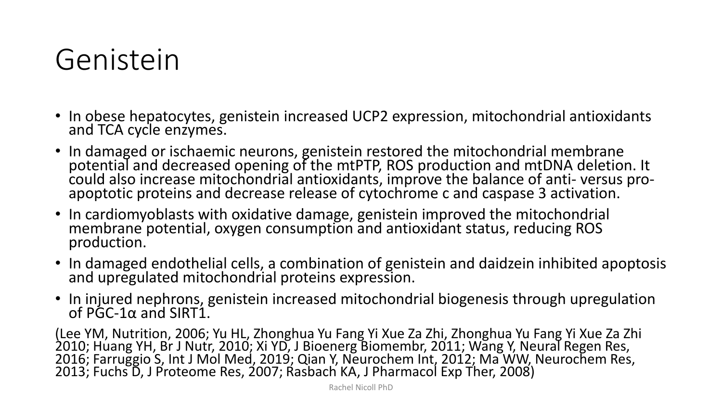#### Genistein

- In obese hepatocytes, genistein increased UCP2 expression, mitochondrial antioxidants and TCA cycle enzymes.
- In damaged or ischaemic neurons, genistein restored the mitochondrial membrane potential and decreased opening of the mtPTP, ROS production and mtDNA deletion. It could also increase mitochondrial antioxidants, improve the balance of anti- versus proapoptotic proteins and decrease release of cytochrome c and caspase 3 activation.
- In cardiomyoblasts with oxidative damage, genistein improved the mitochondrial membrane potential, oxygen consumption and antioxidant status, reducing ROS production.
- In damaged endothelial cells, a combination of genistein and daidzein inhibited apoptosis and upregulated mitochondrial proteins expression.
- In injured nephrons, genistein increased mitochondrial biogenesis through upregulation of PGC-1α and SIRT1.

(Lee YM, Nutrition, 2006; Yu HL, Zhonghua Yu Fang Yi Xue Za Zhi, Zhonghua Yu Fang Yi Xue Za Zhi 2010; Huang YH, Br J Nutr, 2010; Xi YD, J Bioenerg Biomembr, 2011; Wang Y, Neural Regen Res, 2016; Farruggio S, Int J Mol Med, 2019; Qian Y, Neurochem Int, 2012; Ma WW, Neurochem Res, 2013; Fuchs D, J Proteome Res, 2007; Rasbach KA, J Pharmacol Exp Ther, 2008)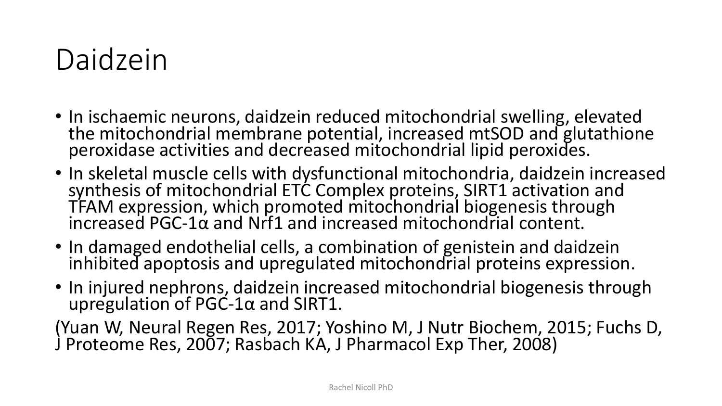#### Daidzein

- In ischaemic neurons, daidzein reduced mitochondrial swelling, elevated the mitochondrial membrane potential, increased mtSOD and glutathione peroxidase activities and decreased mitochondrial lipid peroxides.
- In skeletal muscle cells with dysfunctional mitochondria, daidzein increased synthesis of mitochondrial ETC Complex proteins, SIRT1 activation and TFAM expression, which promoted mitochondrial biogenesis through increased PGC-1 $\alpha$  and Nrf1 and increased mitochondrial content.
- In damaged endothelial cells, a combination of genistein and daidzein inhibited apoptosis and upregulated mitochondrial proteins expression.
- In injured nephrons, daidzein increased mitochondrial biogenesis through upregulation of  $PGC-1\alpha$  and SIRT1.

(Yuan W, Neural Regen Res, 2017; Yoshino M, J Nutr Biochem, 2015; Fuchs D, J Proteome Res, 2007; Rasbach KA, J Pharmacol Exp Ther, 2008)